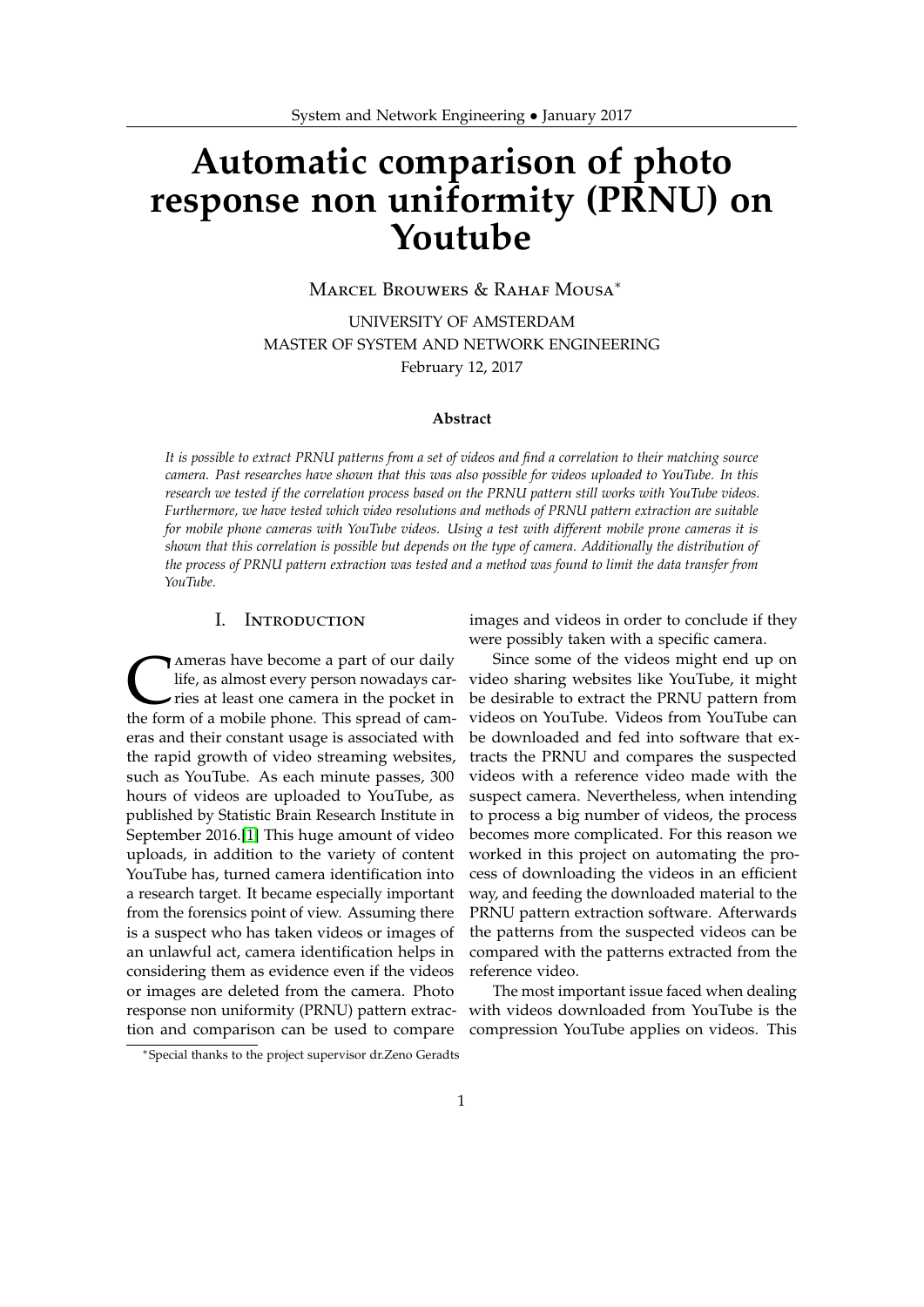# **Automatic comparison of photo response non uniformity (PRNU) on Youtube**

Marcel Brouwers & Rahaf Mousa<sup>∗</sup>

UNIVERSITY OF AMSTERDAM MASTER OF SYSTEM AND NETWORK ENGINEERING February 12, 2017

#### **Abstract**

*It is possible to extract PRNU patterns from a set of videos and find a correlation to their matching source camera. Past researches have shown that this was also possible for videos uploaded to YouTube. In this research we tested if the correlation process based on the PRNU pattern still works with YouTube videos. Furthermore, we have tested which video resolutions and methods of PRNU pattern extraction are suitable for mobile phone cameras with YouTube videos. Using a test with different mobile prone cameras it is shown that this correlation is possible but depends on the type of camera. Additionally the distribution of the process of PRNU pattern extraction was tested and a method was found to limit the data transfer from YouTube.*

## I. Introduction

Ameras have become a part of our daily<br>life, as almost every person nowadays car-<br>ries at least one camera in the pocket in<br>the form of a mobile phone. This spread of cam-Ameras have become a part of our daily life, as almost every person nowadays carries at least one camera in the pocket in eras and their constant usage is associated with the rapid growth of video streaming websites, such as YouTube. As each minute passes, 300 hours of videos are uploaded to YouTube, as published by Statistic Brain Research Institute in September 2016.[\[1\]](#page-11-0) This huge amount of video uploads, in addition to the variety of content YouTube has, turned camera identification into a research target. It became especially important from the forensics point of view. Assuming there is a suspect who has taken videos or images of an unlawful act, camera identification helps in considering them as evidence even if the videos or images are deleted from the camera. Photo response non uniformity (PRNU) pattern extraction and comparison can be used to compare

images and videos in order to conclude if they were possibly taken with a specific camera.

Since some of the videos might end up on video sharing websites like YouTube, it might be desirable to extract the PRNU pattern from videos on YouTube. Videos from YouTube can be downloaded and fed into software that extracts the PRNU and compares the suspected videos with a reference video made with the suspect camera. Nevertheless, when intending to process a big number of videos, the process becomes more complicated. For this reason we worked in this project on automating the process of downloading the videos in an efficient way, and feeding the downloaded material to the PRNU pattern extraction software. Afterwards the patterns from the suspected videos can be compared with the patterns extracted from the reference video.

The most important issue faced when dealing with videos downloaded from YouTube is the compression YouTube applies on videos. This

<sup>∗</sup>Special thanks to the project supervisor dr.Zeno Geradts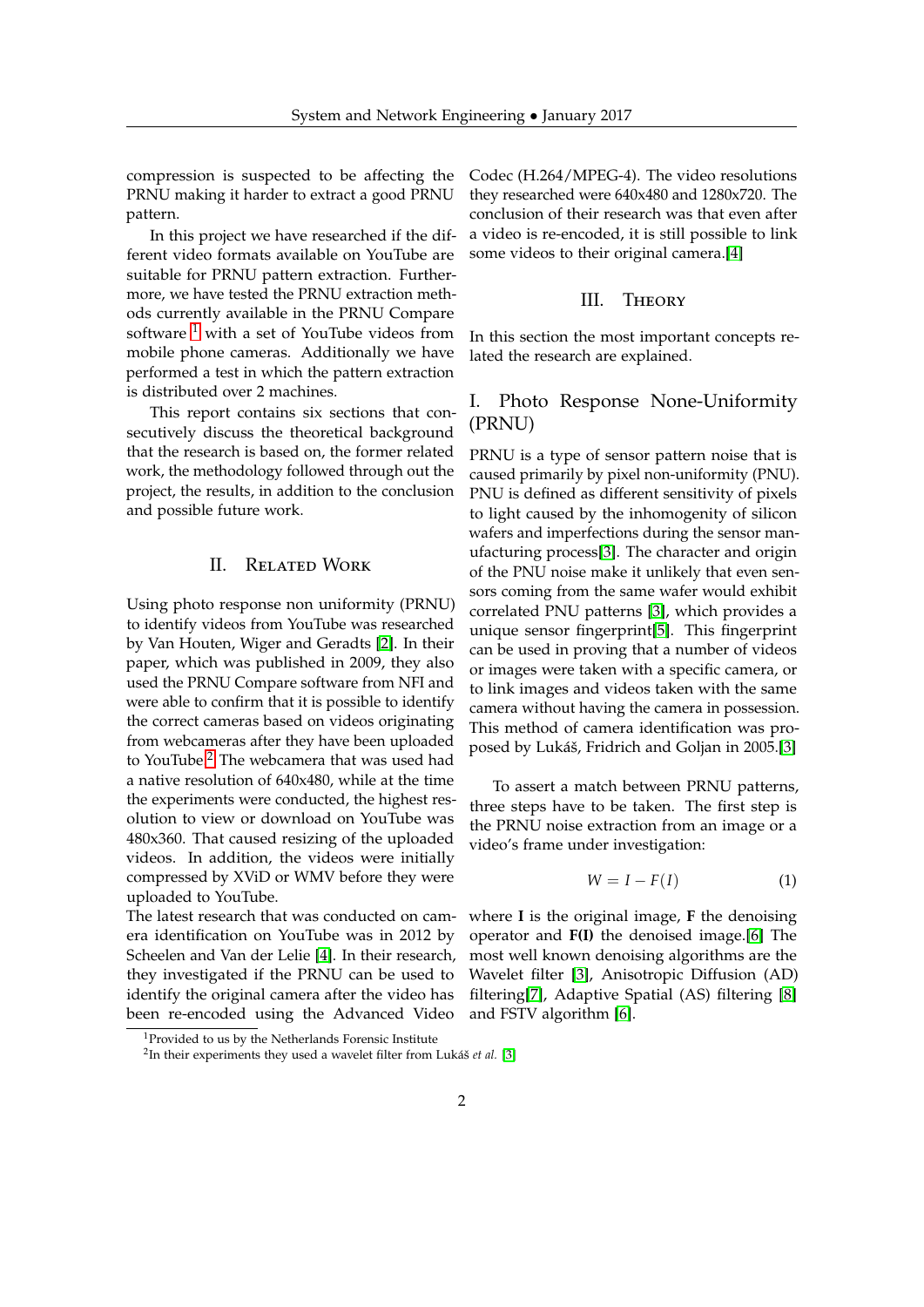compression is suspected to be affecting the PRNU making it harder to extract a good PRNU pattern.

In this project we have researched if the different video formats available on YouTube are suitable for PRNU pattern extraction. Furthermore, we have tested the PRNU extraction methods currently available in the PRNU Compare software <sup>[1](#page-1-0)</sup> with a set of YouTube videos from mobile phone cameras. Additionally we have performed a test in which the pattern extraction is distributed over 2 machines.

This report contains six sections that consecutively discuss the theoretical background that the research is based on, the former related work, the methodology followed through out the project, the results, in addition to the conclusion and possible future work.

## II. Related Work

Using photo response non uniformity (PRNU) to identify videos from YouTube was researched by Van Houten, Wiger and Geradts [\[2\]](#page-11-1). In their paper, which was published in 2009, they also used the PRNU Compare software from NFI and were able to confirm that it is possible to identify the correct cameras based on videos originating from webcameras after they have been uploaded to YouTube.<sup>[2](#page-1-1)</sup> The webcamera that was used had a native resolution of 640x480, while at the time the experiments were conducted, the highest resolution to view or download on YouTube was 480x360. That caused resizing of the uploaded videos. In addition, the videos were initially compressed by XViD or WMV before they were uploaded to YouTube.

The latest research that was conducted on camera identification on YouTube was in 2012 by Scheelen and Van der Lelie [\[4\]](#page-11-2). In their research, they investigated if the PRNU can be used to identify the original camera after the video has been re-encoded using the Advanced Video

Codec (H.264/MPEG-4). The video resolutions they researched were 640x480 and 1280x720. The conclusion of their research was that even after a video is re-encoded, it is still possible to link some videos to their original camera.[\[4\]](#page-11-2)

## III. Theory

In this section the most important concepts related the research are explained.

# I. Photo Response None-Uniformity (PRNU)

PRNU is a type of sensor pattern noise that is caused primarily by pixel non-uniformity (PNU). PNU is defined as different sensitivity of pixels to light caused by the inhomogenity of silicon wafers and imperfections during the sensor manufacturing process[\[3\]](#page-11-3). The character and origin of the PNU noise make it unlikely that even sensors coming from the same wafer would exhibit correlated PNU patterns [\[3\]](#page-11-3), which provides a unique sensor fingerprint[\[5\]](#page-11-4). This fingerprint can be used in proving that a number of videos or images were taken with a specific camera, or to link images and videos taken with the same camera without having the camera in possession. This method of camera identification was proposed by Lukáš, Fridrich and Goljan in 2005.[\[3\]](#page-11-3)

To assert a match between PRNU patterns, three steps have to be taken. The first step is the PRNU noise extraction from an image or a video's frame under investigation:

$$
W = I - F(I) \tag{1}
$$

where **I** is the original image, **F** the denoising operator and **F(I)** the denoised image.[\[6\]](#page-12-0) The most well known denoising algorithms are the Wavelet filter [\[3\]](#page-11-3), Anisotropic Diffusion (AD) filtering[\[7\]](#page-12-1), Adaptive Spatial (AS) filtering [\[8\]](#page-12-2) and FSTV algorithm [\[6\]](#page-12-0).

<span id="page-1-0"></span><sup>&</sup>lt;sup>1</sup>Provided to us by the Netherlands Forensic Institute

<span id="page-1-1"></span><sup>2</sup> In their experiments they used a wavelet filter from Lukáš *et al.* [\[3\]](#page-11-3)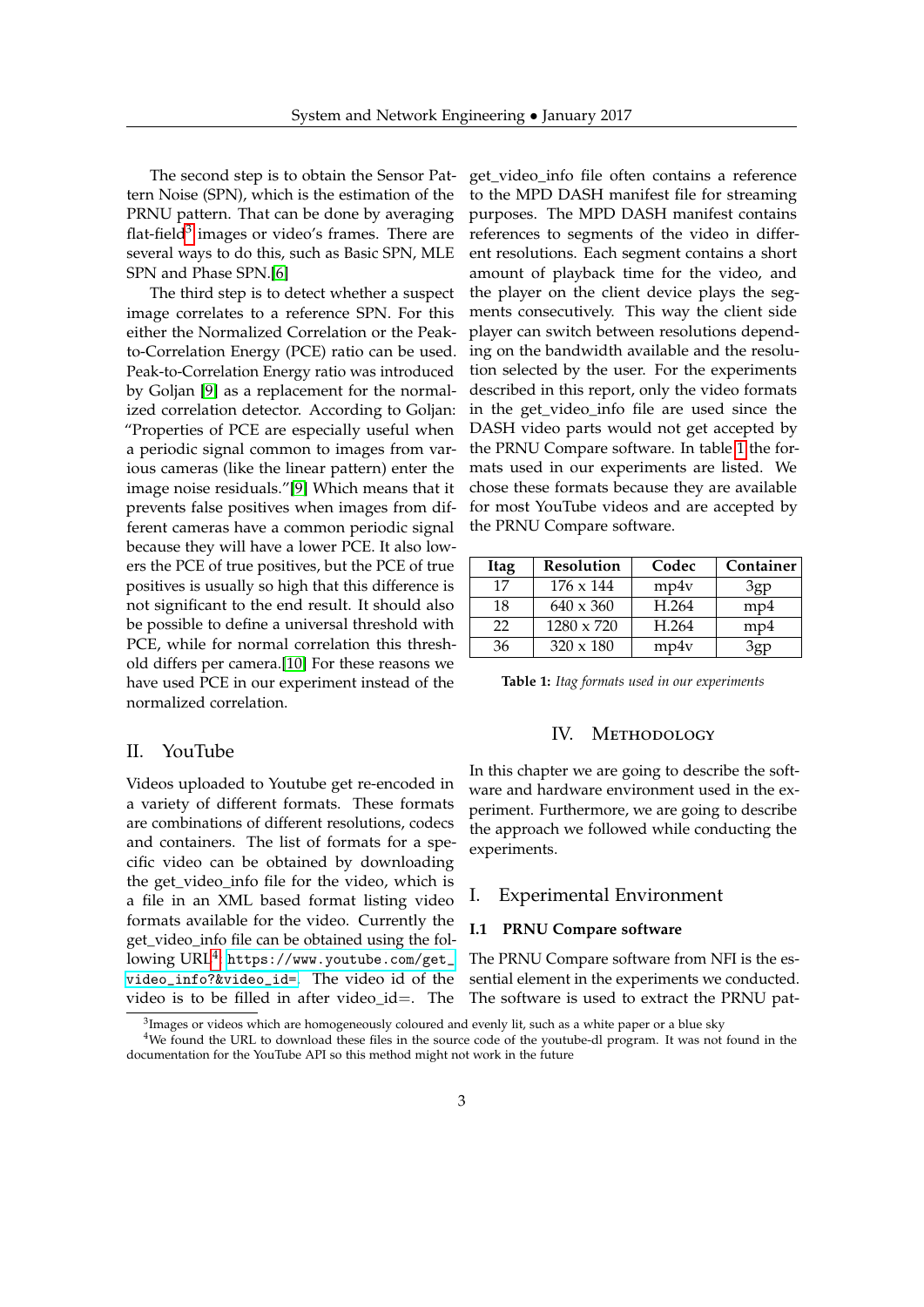The second step is to obtain the Sensor Pattern Noise (SPN), which is the estimation of the PRNU pattern. That can be done by averaging flat-field<sup>[3](#page-2-0)</sup> images or video's frames. There are several ways to do this, such as Basic SPN, MLE SPN and Phase SPN.[\[6\]](#page-12-0)

The third step is to detect whether a suspect image correlates to a reference SPN. For this either the Normalized Correlation or the Peakto-Correlation Energy (PCE) ratio can be used. Peak-to-Correlation Energy ratio was introduced by Goljan [\[9\]](#page-12-3) as a replacement for the normalized correlation detector. According to Goljan: "Properties of PCE are especially useful when a periodic signal common to images from various cameras (like the linear pattern) enter the image noise residuals."[\[9\]](#page-12-3) Which means that it prevents false positives when images from different cameras have a common periodic signal because they will have a lower PCE. It also lowers the PCE of true positives, but the PCE of true positives is usually so high that this difference is not significant to the end result. It should also be possible to define a universal threshold with PCE, while for normal correlation this threshold differs per camera.[\[10\]](#page-12-4) For these reasons we have used PCE in our experiment instead of the normalized correlation.

## <span id="page-2-3"></span>II. YouTube

Videos uploaded to Youtube get re-encoded in a variety of different formats. These formats are combinations of different resolutions, codecs and containers. The list of formats for a specific video can be obtained by downloading the get\_video\_info file for the video, which is a file in an XML based format listing video formats available for the video. Currently the get\_video\_info file can be obtained using the fol- ${\rm lowing~URL^4:~https://www.youtube.com/get\_}$  ${\rm lowing~URL^4:~https://www.youtube.com/get\_}$  ${\rm lowing~URL^4:~https://www.youtube.com/get\_}$ [video\\_info?&video\\_id=](https://www.youtube.com/get_video_info?&video_id=). The video id of the video is to be filled in after video\_id=. The get\_video\_info file often contains a reference to the MPD DASH manifest file for streaming purposes. The MPD DASH manifest contains references to segments of the video in different resolutions. Each segment contains a short amount of playback time for the video, and the player on the client device plays the segments consecutively. This way the client side player can switch between resolutions depending on the bandwidth available and the resolution selected by the user. For the experiments described in this report, only the video formats in the get\_video\_info file are used since the DASH video parts would not get accepted by the PRNU Compare software. In table [1](#page-2-2) the formats used in our experiments are listed. We chose these formats because they are available for most YouTube videos and are accepted by the PRNU Compare software.

<span id="page-2-2"></span>

| <b>Itag</b> | Resolution       | Codec | Container |
|-------------|------------------|-------|-----------|
| 17          | 176 x 144        | mp4v  | 3gp       |
| 18          | $640 \times 360$ | H.264 | mp4       |
| 22          | 1280 x 720       | H.264 | mp4       |
| 36          | $320 \times 180$ | mp4v  |           |

**Table 1:** *Itag formats used in our experiments*

## IV. METHODOLOGY

In this chapter we are going to describe the software and hardware environment used in the experiment. Furthermore, we are going to describe the approach we followed while conducting the experiments.

## I. Experimental Environment

#### **I.1 PRNU Compare software**

The PRNU Compare software from NFI is the essential element in the experiments we conducted. The software is used to extract the PRNU pat-

<span id="page-2-1"></span><span id="page-2-0"></span> ${}^{3}$ Images or videos which are homogeneously coloured and evenly lit, such as a white paper or a blue sky

<sup>&</sup>lt;sup>4</sup>We found the URL to download these files in the source code of the youtube-dl program. It was not found in the documentation for the YouTube API so this method might not work in the future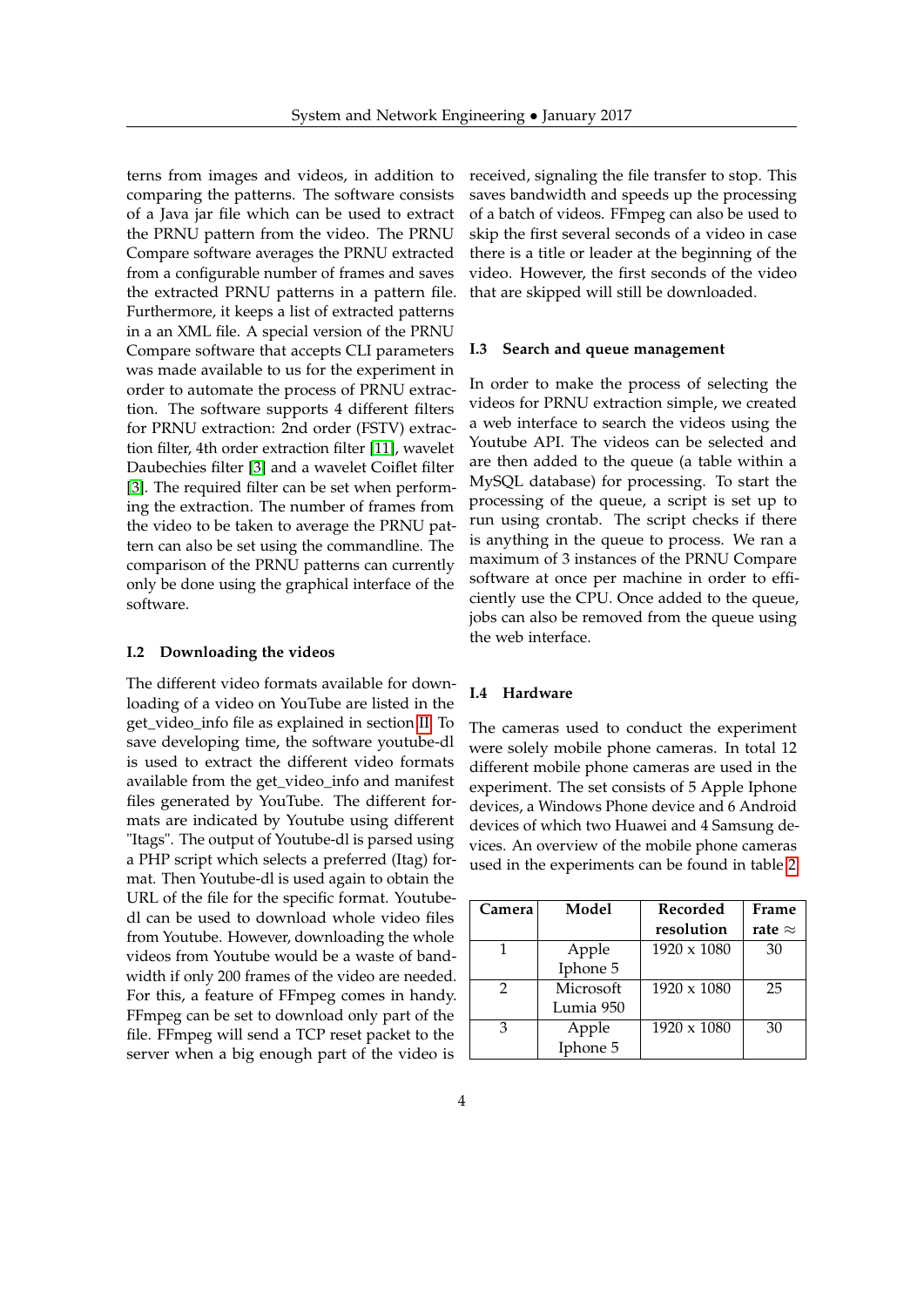terns from images and videos, in addition to comparing the patterns. The software consists of a Java jar file which can be used to extract the PRNU pattern from the video. The PRNU Compare software averages the PRNU extracted from a configurable number of frames and saves the extracted PRNU patterns in a pattern file. Furthermore, it keeps a list of extracted patterns in a an XML file. A special version of the PRNU Compare software that accepts CLI parameters was made available to us for the experiment in order to automate the process of PRNU extraction. The software supports 4 different filters for PRNU extraction: 2nd order (FSTV) extraction filter, 4th order extraction filter [\[11\]](#page-12-5), wavelet Daubechies filter [\[3\]](#page-11-3) and a wavelet Coiflet filter [\[3\]](#page-11-3). The required filter can be set when performing the extraction. The number of frames from the video to be taken to average the PRNU pattern can also be set using the commandline. The comparison of the PRNU patterns can currently only be done using the graphical interface of the software.

#### **I.2 Downloading the videos**

The different video formats available for downloading of a video on YouTube are listed in the get\_video\_info file as explained in section [II.](#page-2-3) To save developing time, the software youtube-dl is used to extract the different video formats available from the get\_video\_info and manifest files generated by YouTube. The different formats are indicated by Youtube using different "Itags". The output of Youtube-dl is parsed using a PHP script which selects a preferred (Itag) format. Then Youtube-dl is used again to obtain the URL of the file for the specific format. Youtubedl can be used to download whole video files from Youtube. However, downloading the whole videos from Youtube would be a waste of bandwidth if only 200 frames of the video are needed. For this, a feature of FFmpeg comes in handy. FFmpeg can be set to download only part of the file. FFmpeg will send a TCP reset packet to the server when a big enough part of the video is

received, signaling the file transfer to stop. This saves bandwidth and speeds up the processing of a batch of videos. FFmpeg can also be used to skip the first several seconds of a video in case there is a title or leader at the beginning of the video. However, the first seconds of the video that are skipped will still be downloaded.

#### **I.3 Search and queue management**

In order to make the process of selecting the videos for PRNU extraction simple, we created a web interface to search the videos using the Youtube API. The videos can be selected and are then added to the queue (a table within a MySQL database) for processing. To start the processing of the queue, a script is set up to run using crontab. The script checks if there is anything in the queue to process. We ran a maximum of 3 instances of the PRNU Compare software at once per machine in order to efficiently use the CPU. Once added to the queue, jobs can also be removed from the queue using the web interface.

#### **I.4 Hardware**

The cameras used to conduct the experiment were solely mobile phone cameras. In total 12 different mobile phone cameras are used in the experiment. The set consists of 5 Apple Iphone devices, a Windows Phone device and 6 Android devices of which two Huawei and 4 Samsung devices. An overview of the mobile phone cameras used in the experiments can be found in table [2.](#page-4-0)

| Camera | Model     | Recorded           | Frame          |
|--------|-----------|--------------------|----------------|
|        |           | resolution         | rate $\approx$ |
|        | Apple     | $1920 \times 1080$ | 30             |
|        | Iphone 5  |                    |                |
| 2      | Microsoft | 1920 x 1080        | 25             |
|        | Lumia 950 |                    |                |
| 3      | Apple     | 1920 x 1080        | 30             |
|        | Iphone 5  |                    |                |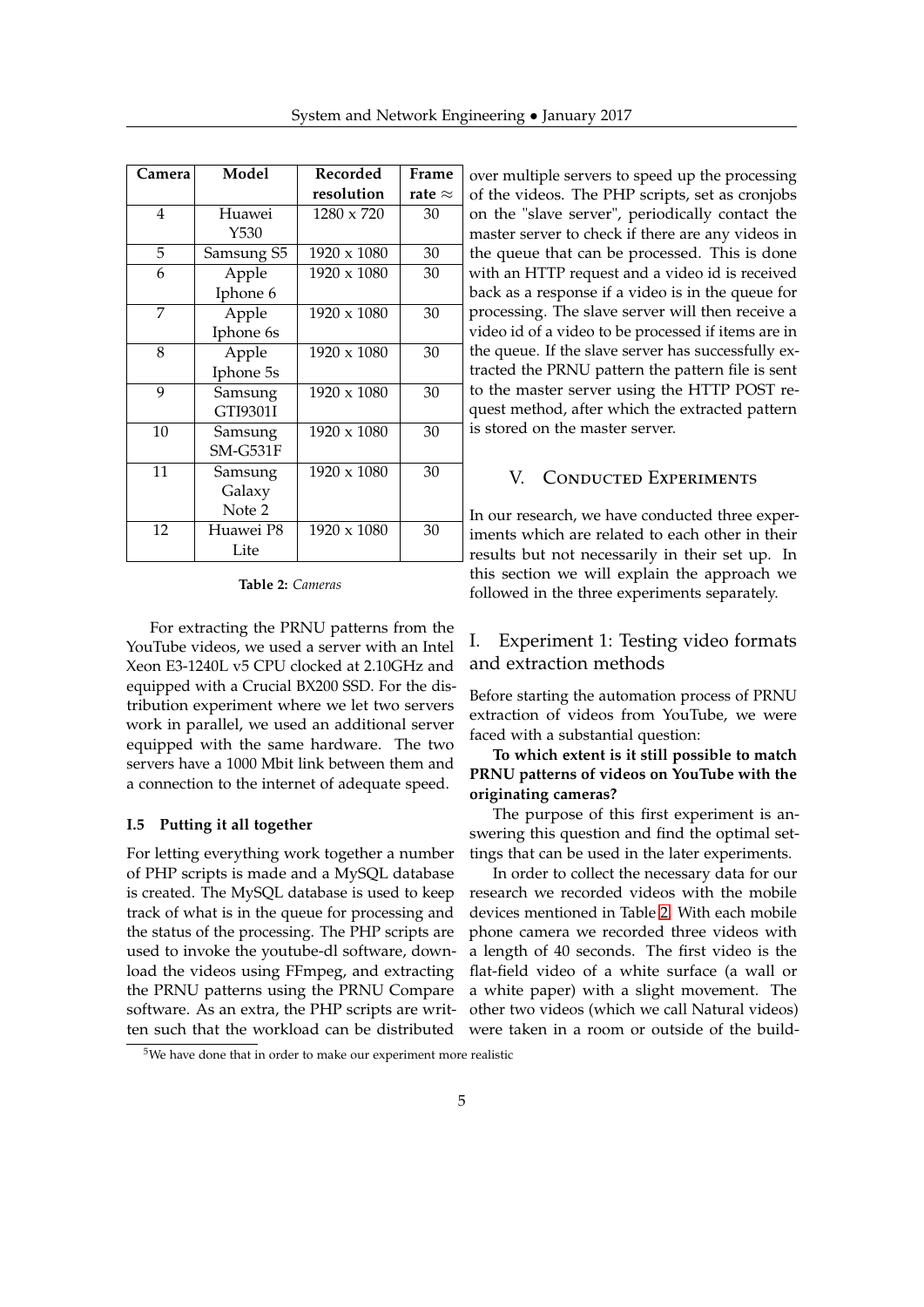<span id="page-4-0"></span>

| Camera | Model      | Recorded           | Frame          |
|--------|------------|--------------------|----------------|
|        |            | resolution         | rate $\approx$ |
| 4      | Huawei     | 1280 x 720         | 30             |
|        | Y530       |                    |                |
| 5      | Samsung S5 | 1920 x 1080        | 30             |
| 6      | Apple      | 1920 x 1080        | 30             |
|        | Iphone 6   |                    |                |
| 7      | Apple      | $1920 \times 1080$ | 30             |
|        | Iphone 6s  |                    |                |
| 8      | Apple      | 1920 x 1080        | 30             |
|        | Iphone 5s  |                    |                |
| 9      | Samsung    | 1920 x 1080        | 30             |
|        | GTI9301I   |                    |                |
| 10     | Samsung    | 1920 x 1080        | 30             |
|        | $SM-G531F$ |                    |                |
| 11     | Samsung    | 1920 x 1080        | 30             |
|        | Galaxy     |                    |                |
|        | Note 2     |                    |                |
| 12     | Huawei P8  | $1920 \times 1080$ | 30             |
|        | Lite       |                    |                |

**Table 2:** *Cameras*

For extracting the PRNU patterns from the YouTube videos, we used a server with an Intel Xeon E3-1240L v5 CPU clocked at 2.10GHz and equipped with a Crucial BX200 SSD. For the distribution experiment where we let two servers work in parallel, we used an additional server equipped with the same hardware. The two servers have a 1000 Mbit link between them and a connection to the internet of adequate speed.

## **I.5 Putting it all together**

For letting everything work together a number of PHP scripts is made and a MySQL database is created. The MySQL database is used to keep track of what is in the queue for processing and the status of the processing. The PHP scripts are used to invoke the youtube-dl software, download the videos using FFmpeg, and extracting the PRNU patterns using the PRNU Compare software. As an extra, the PHP scripts are written such that the workload can be distributed over multiple servers to speed up the processing of the videos. The PHP scripts, set as cronjobs on the "slave server", periodically contact the master server to check if there are any videos in the queue that can be processed. This is done with an HTTP request and a video id is received back as a response if a video is in the queue for processing. The slave server will then receive a video id of a video to be processed if items are in the queue. If the slave server has successfully extracted the PRNU pattern the pattern file is sent to the master server using the HTTP POST request method, after which the extracted pattern is stored on the master server.

## V. CONDUCTED EXPERIMENTS

In our research, we have conducted three experiments which are related to each other in their results but not necessarily in their set up. In this section we will explain the approach we followed in the three experiments separately.

## I. Experiment 1: Testing video formats and extraction methods

Before starting the automation process of PRNU extraction of videos from YouTube, we were faced with a substantial question:

## **To which extent is it still possible to match PRNU patterns of videos on YouTube with the originating cameras?**

The purpose of this first experiment is answering this question and find the optimal settings that can be used in the later experiments.

In order to collect the necessary data for our research we recorded videos with the mobile devices mentioned in Table [2.](#page-4-0) With each mobile phone camera we recorded three videos with a length of 40 seconds. The first video is the flat-field video of a white surface (a wall or a white paper) with a slight movement. The other two videos (which we call Natural videos) were taken in a room or outside of the build-

<span id="page-4-1"></span> $5$ We have done that in order to make our experiment more realistic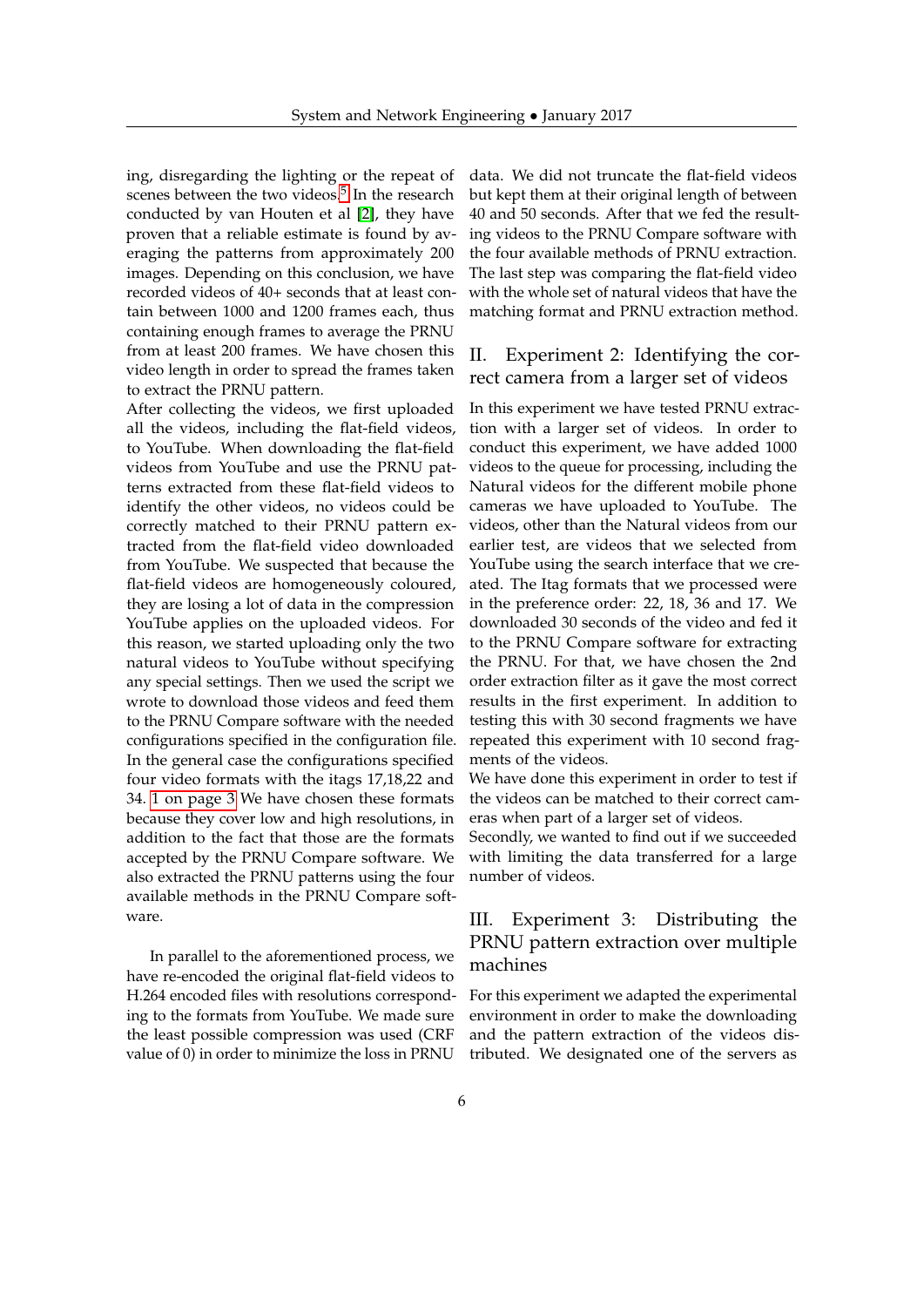ing, disregarding the lighting or the repeat of scenes between the two videos.<sup>[5](#page-4-1)</sup> In the research conducted by van Houten et al [\[2\]](#page-11-1), they have proven that a reliable estimate is found by averaging the patterns from approximately 200 images. Depending on this conclusion, we have recorded videos of 40+ seconds that at least contain between 1000 and 1200 frames each, thus containing enough frames to average the PRNU from at least 200 frames. We have chosen this video length in order to spread the frames taken to extract the PRNU pattern.

After collecting the videos, we first uploaded all the videos, including the flat-field videos, to YouTube. When downloading the flat-field videos from YouTube and use the PRNU patterns extracted from these flat-field videos to identify the other videos, no videos could be correctly matched to their PRNU pattern extracted from the flat-field video downloaded from YouTube. We suspected that because the flat-field videos are homogeneously coloured, they are losing a lot of data in the compression YouTube applies on the uploaded videos. For this reason, we started uploading only the two natural videos to YouTube without specifying any special settings. Then we used the script we wrote to download those videos and feed them to the PRNU Compare software with the needed configurations specified in the configuration file. In the general case the configurations specified four video formats with the itags 17,18,22 and 34. [1 on page 3](#page-2-2) We have chosen these formats because they cover low and high resolutions, in addition to the fact that those are the formats accepted by the PRNU Compare software. We also extracted the PRNU patterns using the four available methods in the PRNU Compare software.

In parallel to the aforementioned process, we have re-encoded the original flat-field videos to H.264 encoded files with resolutions corresponding to the formats from YouTube. We made sure the least possible compression was used (CRF value of 0) in order to minimize the loss in PRNU data. We did not truncate the flat-field videos but kept them at their original length of between 40 and 50 seconds. After that we fed the resulting videos to the PRNU Compare software with the four available methods of PRNU extraction. The last step was comparing the flat-field video with the whole set of natural videos that have the matching format and PRNU extraction method.

## II. Experiment 2: Identifying the correct camera from a larger set of videos

In this experiment we have tested PRNU extraction with a larger set of videos. In order to conduct this experiment, we have added 1000 videos to the queue for processing, including the Natural videos for the different mobile phone cameras we have uploaded to YouTube. The videos, other than the Natural videos from our earlier test, are videos that we selected from YouTube using the search interface that we created. The Itag formats that we processed were in the preference order: 22, 18, 36 and 17. We downloaded 30 seconds of the video and fed it to the PRNU Compare software for extracting the PRNU. For that, we have chosen the 2nd order extraction filter as it gave the most correct results in the first experiment. In addition to testing this with 30 second fragments we have repeated this experiment with 10 second fragments of the videos.

We have done this experiment in order to test if the videos can be matched to their correct cameras when part of a larger set of videos.

Secondly, we wanted to find out if we succeeded with limiting the data transferred for a large number of videos.

# III. Experiment 3: Distributing the PRNU pattern extraction over multiple machines

For this experiment we adapted the experimental environment in order to make the downloading and the pattern extraction of the videos distributed. We designated one of the servers as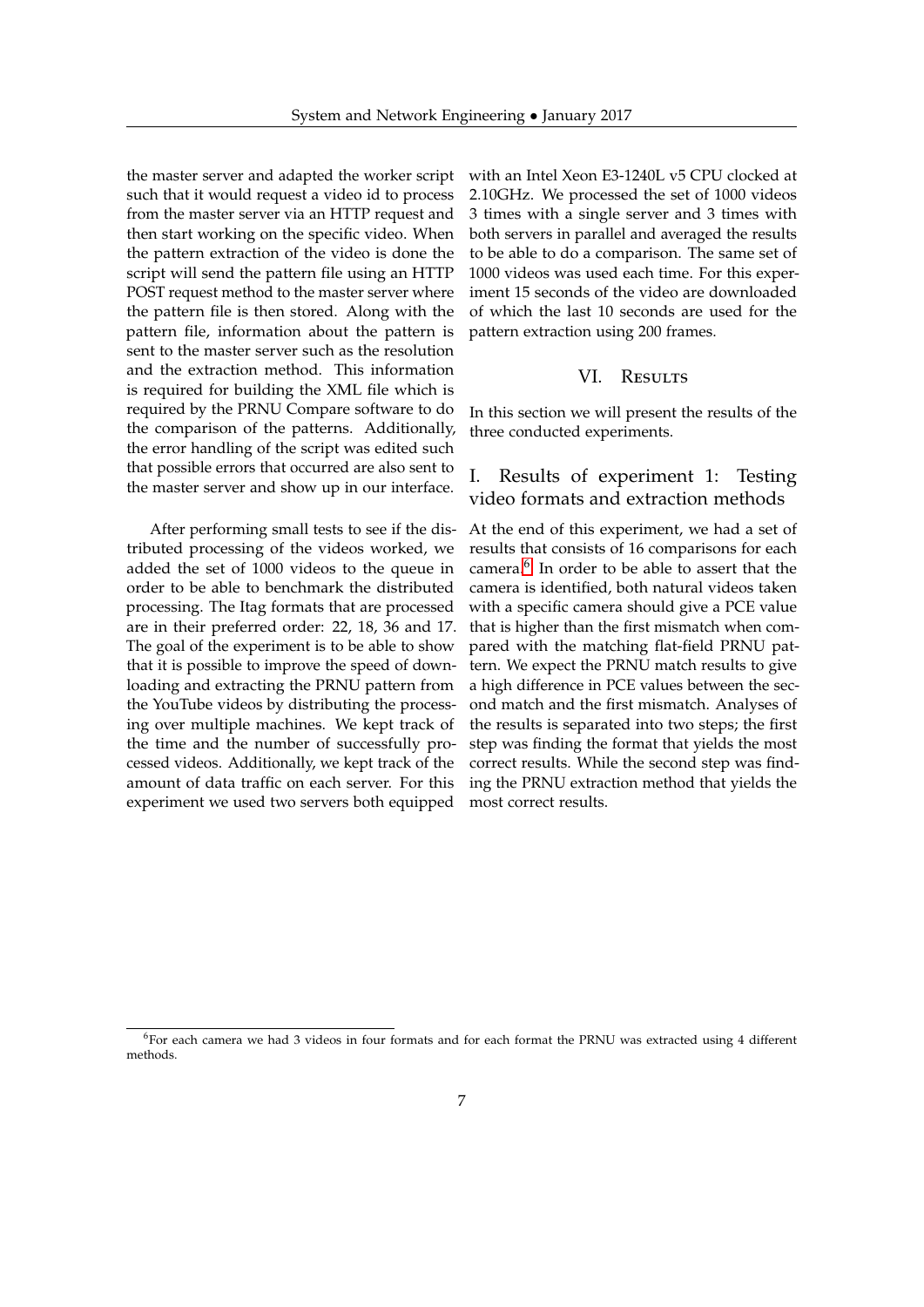the master server and adapted the worker script such that it would request a video id to process from the master server via an HTTP request and then start working on the specific video. When the pattern extraction of the video is done the script will send the pattern file using an HTTP POST request method to the master server where the pattern file is then stored. Along with the pattern file, information about the pattern is sent to the master server such as the resolution and the extraction method. This information is required for building the XML file which is required by the PRNU Compare software to do the comparison of the patterns. Additionally, the error handling of the script was edited such that possible errors that occurred are also sent to the master server and show up in our interface.

After performing small tests to see if the distributed processing of the videos worked, we added the set of 1000 videos to the queue in order to be able to benchmark the distributed processing. The Itag formats that are processed are in their preferred order: 22, 18, 36 and 17. The goal of the experiment is to be able to show that it is possible to improve the speed of downloading and extracting the PRNU pattern from the YouTube videos by distributing the processing over multiple machines. We kept track of the time and the number of successfully processed videos. Additionally, we kept track of the amount of data traffic on each server. For this experiment we used two servers both equipped

with an Intel Xeon E3-1240L v5 CPU clocked at 2.10GHz. We processed the set of 1000 videos 3 times with a single server and 3 times with both servers in parallel and averaged the results to be able to do a comparison. The same set of 1000 videos was used each time. For this experiment 15 seconds of the video are downloaded of which the last 10 seconds are used for the pattern extraction using 200 frames.

## VI. Results

In this section we will present the results of the three conducted experiments.

# I. Results of experiment 1: Testing video formats and extraction methods

At the end of this experiment, we had a set of results that consists of 16 comparisons for each camera.[6](#page-6-0) In order to be able to assert that the camera is identified, both natural videos taken with a specific camera should give a PCE value that is higher than the first mismatch when compared with the matching flat-field PRNU pattern. We expect the PRNU match results to give a high difference in PCE values between the second match and the first mismatch. Analyses of the results is separated into two steps; the first step was finding the format that yields the most correct results. While the second step was finding the PRNU extraction method that yields the most correct results.

<span id="page-6-0"></span> $6$ For each camera we had 3 videos in four formats and for each format the PRNU was extracted using 4 different methods.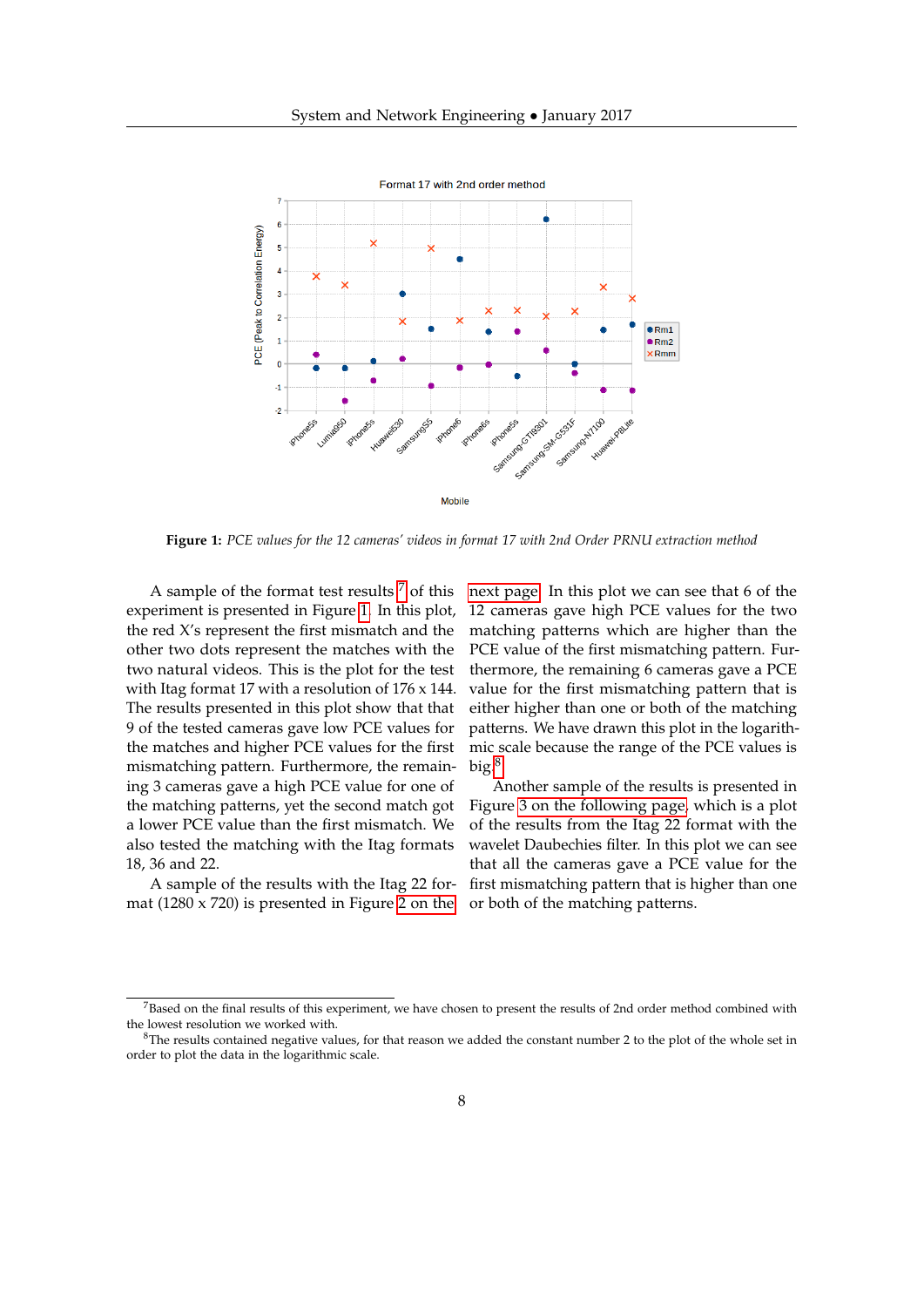<span id="page-7-1"></span>

**Figure 1:** *PCE values for the 12 cameras' videos in format 17 with 2nd Order PRNU extraction method*

A sample of the format test results  $<sup>7</sup>$  $<sup>7</sup>$  $<sup>7</sup>$  of this</sup> experiment is presented in Figure [1.](#page-7-1) In this plot, the red X's represent the first mismatch and the other two dots represent the matches with the two natural videos. This is the plot for the test with Itag format 17 with a resolution of 176 x 144. The results presented in this plot show that that 9 of the tested cameras gave low PCE values for the matches and higher PCE values for the first mismatching pattern. Furthermore, the remaining 3 cameras gave a high PCE value for one of the matching patterns, yet the second match got a lower PCE value than the first mismatch. We also tested the matching with the Itag formats 18, 36 and 22.

A sample of the results with the Itag 22 format (1280 x 720) is presented in Figure [2 on the](#page-8-0) [next page.](#page-8-0) In this plot we can see that 6 of the 12 cameras gave high PCE values for the two matching patterns which are higher than the PCE value of the first mismatching pattern. Furthermore, the remaining 6 cameras gave a PCE value for the first mismatching pattern that is either higher than one or both of the matching patterns. We have drawn this plot in the logarithmic scale because the range of the PCE values is  $big.$ <sup>[8](#page-7-2)</sup>

Another sample of the results is presented in Figure [3 on the following page,](#page-8-1) which is a plot of the results from the Itag 22 format with the wavelet Daubechies filter. In this plot we can see that all the cameras gave a PCE value for the first mismatching pattern that is higher than one or both of the matching patterns.

<span id="page-7-0"></span> $<sup>7</sup>$ Based on the final results of this experiment, we have chosen to present the results of 2nd order method combined with</sup> the lowest resolution we worked with.

<span id="page-7-2"></span> ${}^{8}$ The results contained negative values, for that reason we added the constant number 2 to the plot of the whole set in order to plot the data in the logarithmic scale.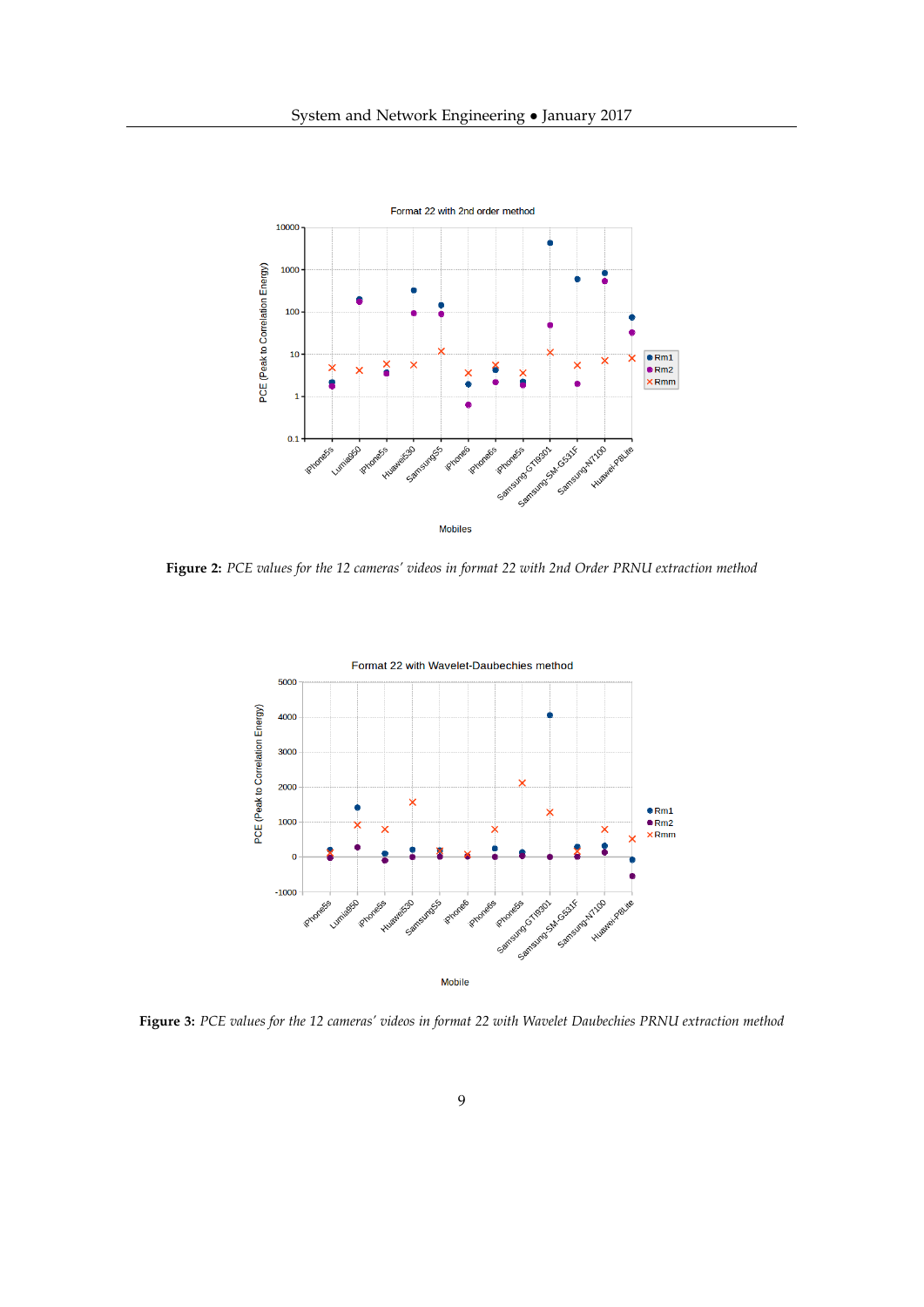<span id="page-8-0"></span>

<span id="page-8-1"></span>**Figure 2:** *PCE values for the 12 cameras' videos in format 22 with 2nd Order PRNU extraction method*



**Figure 3:** *PCE values for the 12 cameras' videos in format 22 with Wavelet Daubechies PRNU extraction method*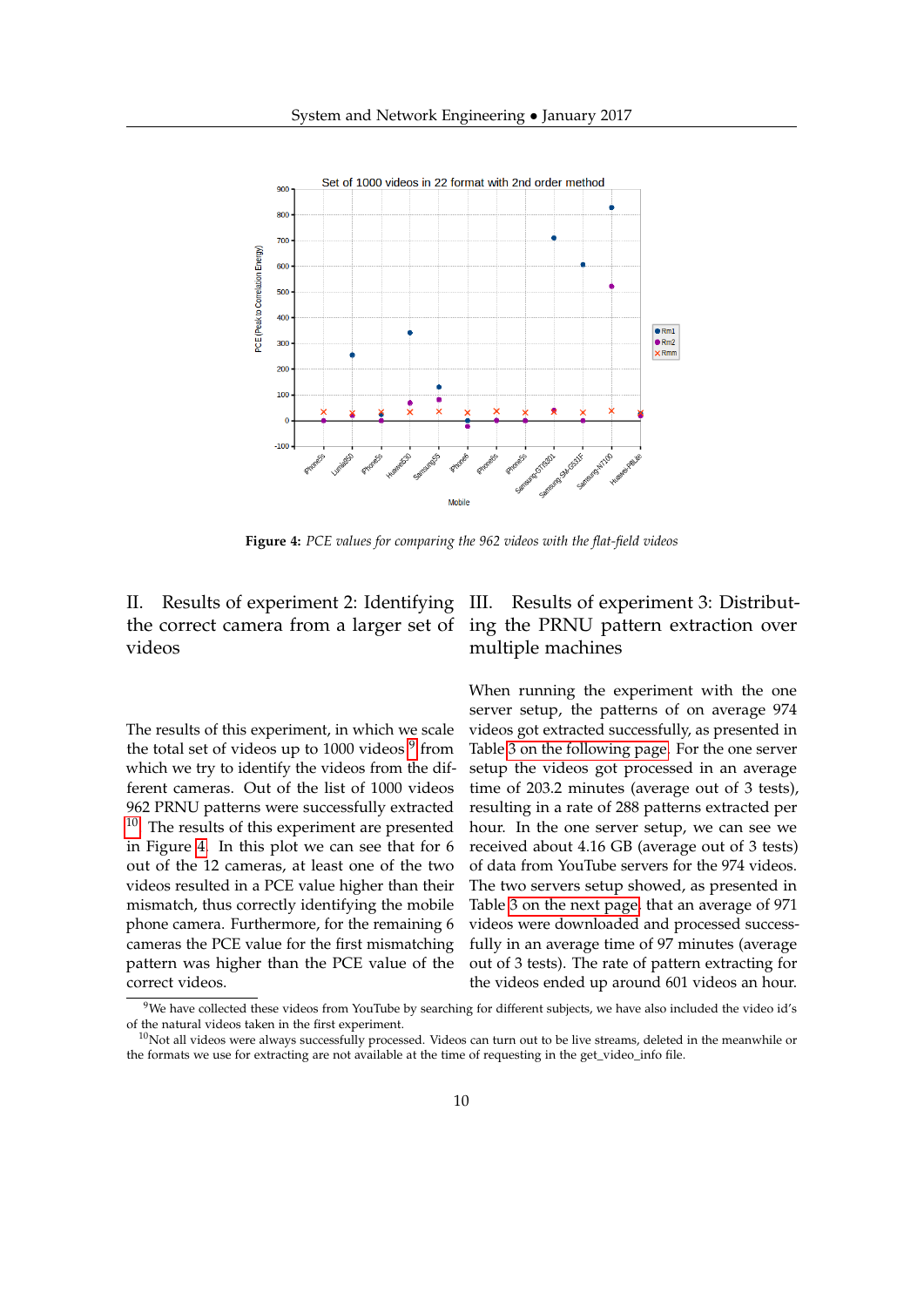<span id="page-9-2"></span>

**Figure 4:** *PCE values for comparing the 962 videos with the flat-field videos*

II. Results of experiment 2: Identifying the correct camera from a larger set of videos

The results of this experiment, in which we scale the total set of videos up to 1000 videos <sup>[9](#page-9-0)</sup> from which we try to identify the videos from the different cameras. Out of the list of 1000 videos 962 PRNU patterns were successfully extracted <sup>[10](#page-9-1)</sup>. The results of this experiment are presented in Figure [4.](#page-9-2) In this plot we can see that for 6 out of the 12 cameras, at least one of the two videos resulted in a PCE value higher than their mismatch, thus correctly identifying the mobile phone camera. Furthermore, for the remaining 6 cameras the PCE value for the first mismatching pattern was higher than the PCE value of the correct videos.

# Results of experiment 3: Distributing the PRNU pattern extraction over multiple machines

When running the experiment with the one server setup, the patterns of on average 974 videos got extracted successfully, as presented in Table [3 on the following page.](#page-10-0) For the one server setup the videos got processed in an average time of 203.2 minutes (average out of 3 tests), resulting in a rate of 288 patterns extracted per hour. In the one server setup, we can see we received about 4.16 GB (average out of 3 tests) of data from YouTube servers for the 974 videos. The two servers setup showed, as presented in Table [3 on the next page,](#page-10-0) that an average of 971 videos were downloaded and processed successfully in an average time of 97 minutes (average out of 3 tests). The rate of pattern extracting for the videos ended up around 601 videos an hour.

<span id="page-9-0"></span> $9$ We have collected these videos from YouTube by searching for different subjects, we have also included the video id's of the natural videos taken in the first experiment.

<span id="page-9-1"></span> $10$ Not all videos were always successfully processed. Videos can turn out to be live streams, deleted in the meanwhile or the formats we use for extracting are not available at the time of requesting in the get\_video\_info file.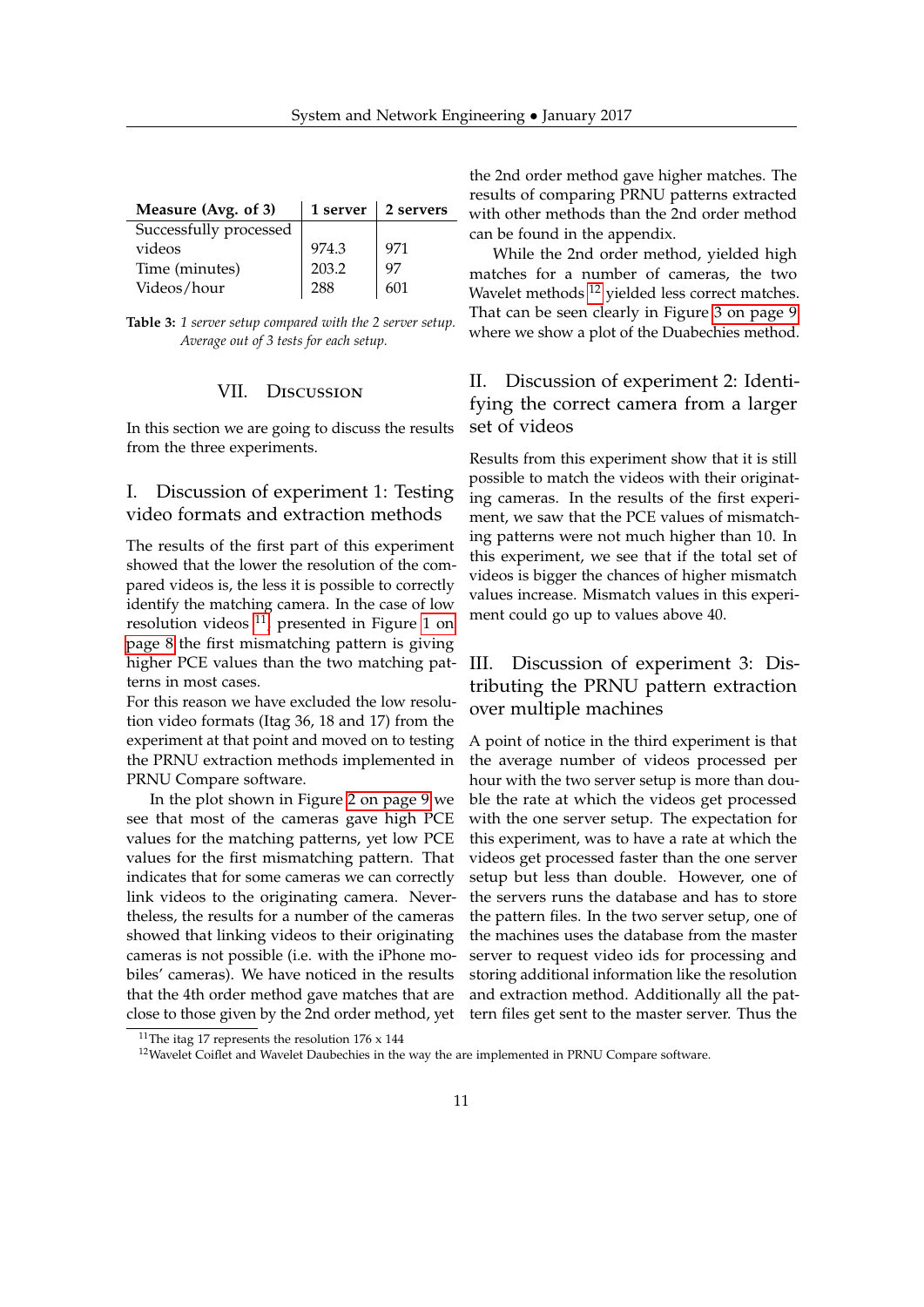<span id="page-10-0"></span>

| Measure (Avg. of 3)    |       | 1 server $\vert$ 2 servers |
|------------------------|-------|----------------------------|
| Successfully processed |       |                            |
| videos                 | 974.3 | 971                        |
| Time (minutes)         | 203.2 | 97                         |
| Videos/hour            | 288   | 601                        |

**Table 3:** *1 server setup compared with the 2 server setup. Average out of 3 tests for each setup.*

## VII. Discussion

In this section we are going to discuss the results from the three experiments.

# I. Discussion of experiment 1: Testing video formats and extraction methods

The results of the first part of this experiment showed that the lower the resolution of the compared videos is, the less it is possible to correctly identify the matching camera. In the case of low resolution videos  $^{11}$  $^{11}$  $^{11}$ , presented in Figure [1 on](#page-7-1) [page 8](#page-7-1) the first mismatching pattern is giving higher PCE values than the two matching patterns in most cases.

For this reason we have excluded the low resolution video formats (Itag 36, 18 and 17) from the experiment at that point and moved on to testing the PRNU extraction methods implemented in PRNU Compare software.

In the plot shown in Figure [2 on page 9](#page-8-0) we see that most of the cameras gave high PCE values for the matching patterns, yet low PCE values for the first mismatching pattern. That indicates that for some cameras we can correctly link videos to the originating camera. Nevertheless, the results for a number of the cameras showed that linking videos to their originating cameras is not possible (i.e. with the iPhone mobiles' cameras). We have noticed in the results that the 4th order method gave matches that are close to those given by the 2nd order method, yet the 2nd order method gave higher matches. The results of comparing PRNU patterns extracted with other methods than the 2nd order method can be found in the appendix.

While the 2nd order method, yielded high matches for a number of cameras, the two Wavelet methods <sup>[12](#page-10-2)</sup> yielded less correct matches. That can be seen clearly in Figure [3 on page 9](#page-8-1) where we show a plot of the Duabechies method.

# II. Discussion of experiment 2: Identifying the correct camera from a larger set of videos

Results from this experiment show that it is still possible to match the videos with their originating cameras. In the results of the first experiment, we saw that the PCE values of mismatching patterns were not much higher than 10. In this experiment, we see that if the total set of videos is bigger the chances of higher mismatch values increase. Mismatch values in this experiment could go up to values above 40.

# III. Discussion of experiment 3: Distributing the PRNU pattern extraction over multiple machines

A point of notice in the third experiment is that the average number of videos processed per hour with the two server setup is more than double the rate at which the videos get processed with the one server setup. The expectation for this experiment, was to have a rate at which the videos get processed faster than the one server setup but less than double. However, one of the servers runs the database and has to store the pattern files. In the two server setup, one of the machines uses the database from the master server to request video ids for processing and storing additional information like the resolution and extraction method. Additionally all the pattern files get sent to the master server. Thus the

<span id="page-10-1"></span><sup>&</sup>lt;sup>11</sup>The itag 17 represents the resolution  $176 \times 144$ 

<span id="page-10-2"></span> $12$ Wavelet Coiflet and Wavelet Daubechies in the way the are implemented in PRNU Compare software.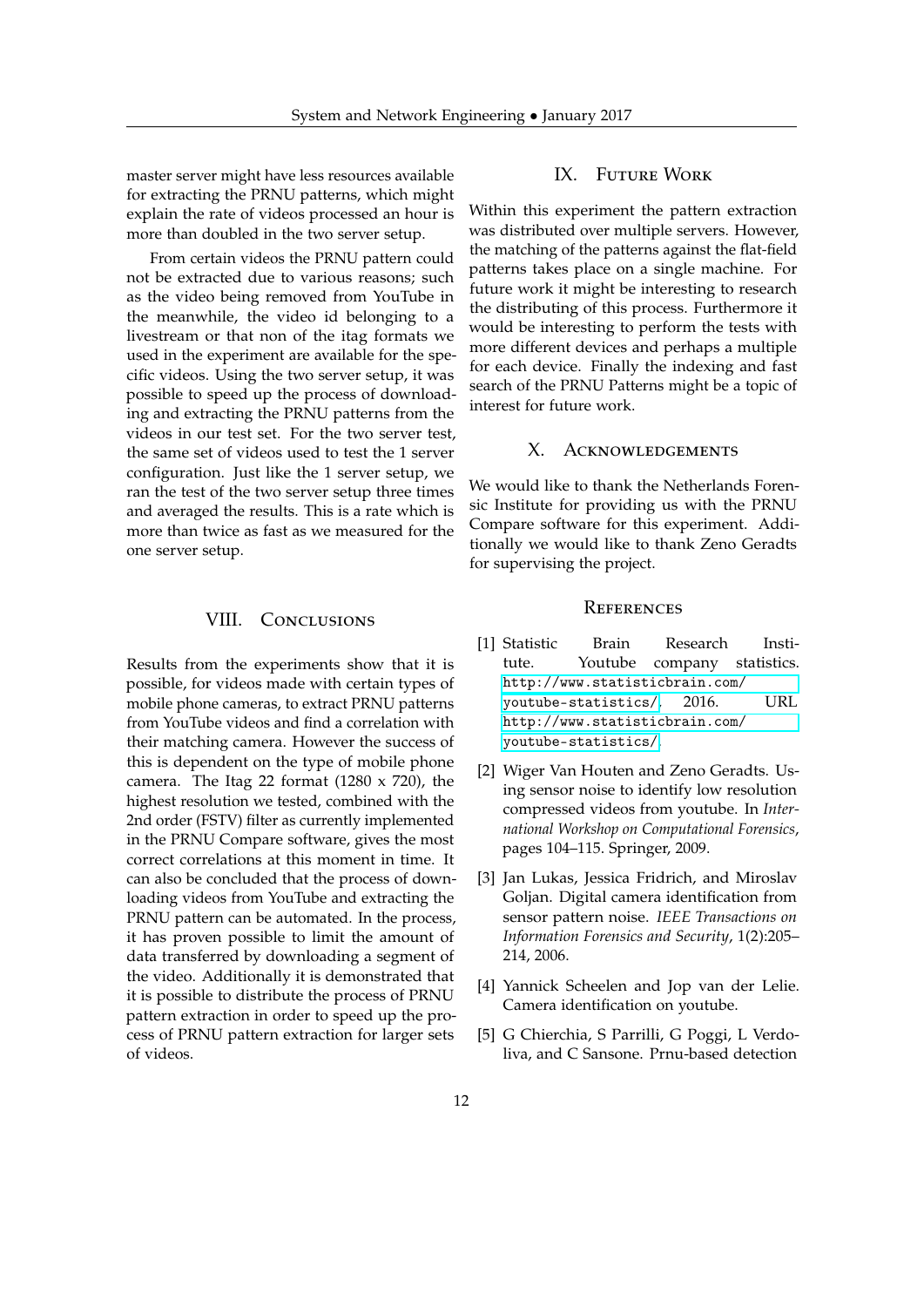master server might have less resources available for extracting the PRNU patterns, which might explain the rate of videos processed an hour is more than doubled in the two server setup.

From certain videos the PRNU pattern could not be extracted due to various reasons; such as the video being removed from YouTube in the meanwhile, the video id belonging to a livestream or that non of the itag formats we used in the experiment are available for the specific videos. Using the two server setup, it was possible to speed up the process of downloading and extracting the PRNU patterns from the videos in our test set. For the two server test, the same set of videos used to test the 1 server configuration. Just like the 1 server setup, we ran the test of the two server setup three times and averaged the results. This is a rate which is more than twice as fast as we measured for the one server setup.

## VIII. CONCLUSIONS

Results from the experiments show that it is possible, for videos made with certain types of mobile phone cameras, to extract PRNU patterns from YouTube videos and find a correlation with their matching camera. However the success of this is dependent on the type of mobile phone camera. The Itag 22 format (1280  $\times$  720), the highest resolution we tested, combined with the 2nd order (FSTV) filter as currently implemented in the PRNU Compare software, gives the most correct correlations at this moment in time. It can also be concluded that the process of downloading videos from YouTube and extracting the PRNU pattern can be automated. In the process, it has proven possible to limit the amount of data transferred by downloading a segment of the video. Additionally it is demonstrated that it is possible to distribute the process of PRNU pattern extraction in order to speed up the process of PRNU pattern extraction for larger sets of videos.

## IX. Future Work

Within this experiment the pattern extraction was distributed over multiple servers. However, the matching of the patterns against the flat-field patterns takes place on a single machine. For future work it might be interesting to research the distributing of this process. Furthermore it would be interesting to perform the tests with more different devices and perhaps a multiple for each device. Finally the indexing and fast search of the PRNU Patterns might be a topic of interest for future work.

## X. Acknowledgements

We would like to thank the Netherlands Forensic Institute for providing us with the PRNU Compare software for this experiment. Additionally we would like to thank Zeno Geradts for supervising the project.

## **REFERENCES**

- <span id="page-11-0"></span>[1] Statistic Brain Research Institute. Youtube company statistics. [http://www.statisticbrain.com/](http://www.statisticbrain.com/youtube-statistics/) [youtube-statistics/](http://www.statisticbrain.com/youtube-statistics/), 2016. URL [http://www.statisticbrain.com/](http://www.statisticbrain.com/youtube-statistics/) [youtube-statistics/](http://www.statisticbrain.com/youtube-statistics/).
- <span id="page-11-1"></span>[2] Wiger Van Houten and Zeno Geradts. Using sensor noise to identify low resolution compressed videos from youtube. In *International Workshop on Computational Forensics*, pages 104–115. Springer, 2009.
- <span id="page-11-3"></span>[3] Jan Lukas, Jessica Fridrich, and Miroslav Goljan. Digital camera identification from sensor pattern noise. *IEEE Transactions on Information Forensics and Security*, 1(2):205– 214, 2006.
- <span id="page-11-2"></span>[4] Yannick Scheelen and Jop van der Lelie. Camera identification on youtube.
- <span id="page-11-4"></span>[5] G Chierchia, S Parrilli, G Poggi, L Verdoliva, and C Sansone. Prnu-based detection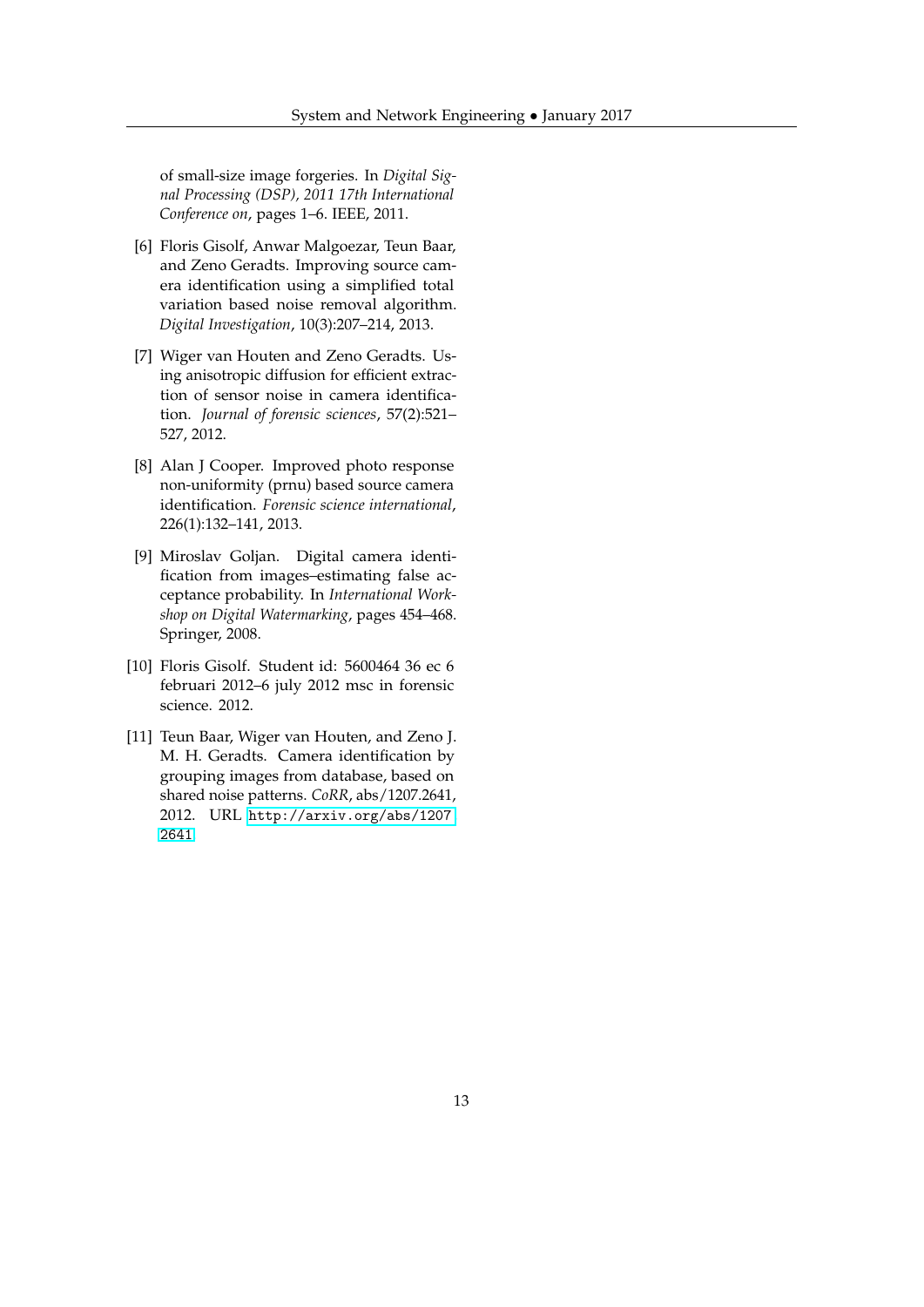of small-size image forgeries. In *Digital Signal Processing (DSP), 2011 17th International Conference on*, pages 1–6. IEEE, 2011.

- <span id="page-12-0"></span>[6] Floris Gisolf, Anwar Malgoezar, Teun Baar, and Zeno Geradts. Improving source camera identification using a simplified total variation based noise removal algorithm. *Digital Investigation*, 10(3):207–214, 2013.
- <span id="page-12-1"></span>[7] Wiger van Houten and Zeno Geradts. Using anisotropic diffusion for efficient extraction of sensor noise in camera identification. *Journal of forensic sciences*, 57(2):521– 527, 2012.
- <span id="page-12-2"></span>[8] Alan J Cooper. Improved photo response non-uniformity (prnu) based source camera identification. *Forensic science international*, 226(1):132–141, 2013.
- <span id="page-12-3"></span>[9] Miroslav Goljan. Digital camera identification from images–estimating false acceptance probability. In *International Workshop on Digital Watermarking*, pages 454–468. Springer, 2008.
- <span id="page-12-4"></span>[10] Floris Gisolf. Student id: 5600464 36 ec 6 februari 2012–6 july 2012 msc in forensic science. 2012.
- <span id="page-12-5"></span>[11] Teun Baar, Wiger van Houten, and Zeno J. M. H. Geradts. Camera identification by grouping images from database, based on shared noise patterns. *CoRR*, abs/1207.2641, 2012. URL [http://arxiv.org/abs/1207.](http://arxiv.org/abs/1207.2641) [2641](http://arxiv.org/abs/1207.2641).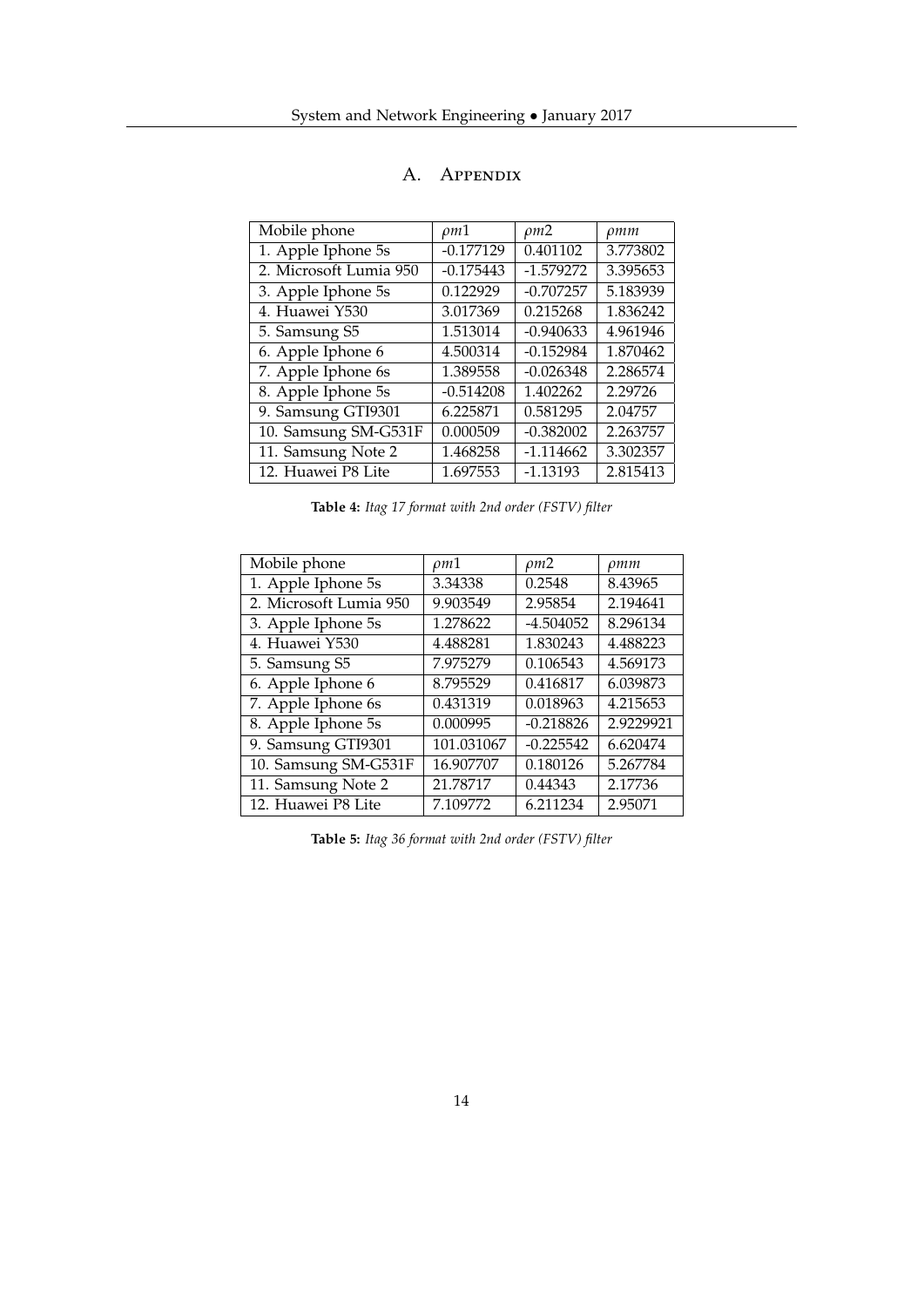| Mobile phone           | $\rho m1$   | $\rho m2$   | pmm      |
|------------------------|-------------|-------------|----------|
| 1. Apple Iphone 5s     | $-0.177129$ | 0.401102    | 3.773802 |
| 2. Microsoft Lumia 950 | $-0.175443$ | $-1.579272$ | 3.395653 |
| 3. Apple Iphone 5s     | 0.122929    | $-0.707257$ | 5.183939 |
| 4. Huawei Y530         | 3.017369    | 0.215268    | 1.836242 |
| 5. Samsung S5          | 1.513014    | $-0.940633$ | 4.961946 |
| 6. Apple Iphone 6      | 4.500314    | $-0.152984$ | 1.870462 |
| 7. Apple Iphone 6s     | 1.389558    | $-0.026348$ | 2.286574 |
| 8. Apple Iphone 5s     | $-0.514208$ | 1.402262    | 2.29726  |
| 9. Samsung GTI9301     | 6.225871    | 0.581295    | 2.04757  |
| 10. Samsung SM-G531F   | 0.000509    | $-0.382002$ | 2.263757 |
| 11. Samsung Note 2     | 1.468258    | $-1.114662$ | 3.302357 |
| 12. Huawei P8 Lite     | 1.697553    | $-1.13193$  | 2.815413 |

# A. Appendix

**Table 4:** *Itag 17 format with 2nd order (FSTV) filter*

| Mobile phone           | $\rho m1$  | $\rho m2$   | $\rho$ <i>mm</i> |
|------------------------|------------|-------------|------------------|
| 1. Apple Iphone 5s     | 3.34338    | 0.2548      | 8.43965          |
| 2. Microsoft Lumia 950 | 9.903549   | 2.95854     | 2.194641         |
| 3. Apple Iphone 5s     | 1.278622   | $-4.504052$ | 8.296134         |
| 4. Huawei Y530         | 4.488281   | 1.830243    | 4.488223         |
| 5. Samsung S5          | 7.975279   | 0.106543    | 4.569173         |
| 6. Apple Iphone 6      | 8.795529   | 0.416817    | 6.039873         |
| 7. Apple Iphone 6s     | 0.431319   | 0.018963    | 4.215653         |
| 8. Apple Iphone 5s     | 0.000995   | $-0.218826$ | 2.9229921        |
| 9. Samsung GTI9301     | 101.031067 | $-0.225542$ | 6.620474         |
| 10. Samsung SM-G531F   | 16.907707  | 0.180126    | 5.267784         |
| 11. Samsung Note 2     | 21.78717   | 0.44343     | 2.17736          |
| 12. Huawei P8 Lite     | 7.109772   | 6.211234    | 2.95071          |

**Table 5:** *Itag 36 format with 2nd order (FSTV) filter*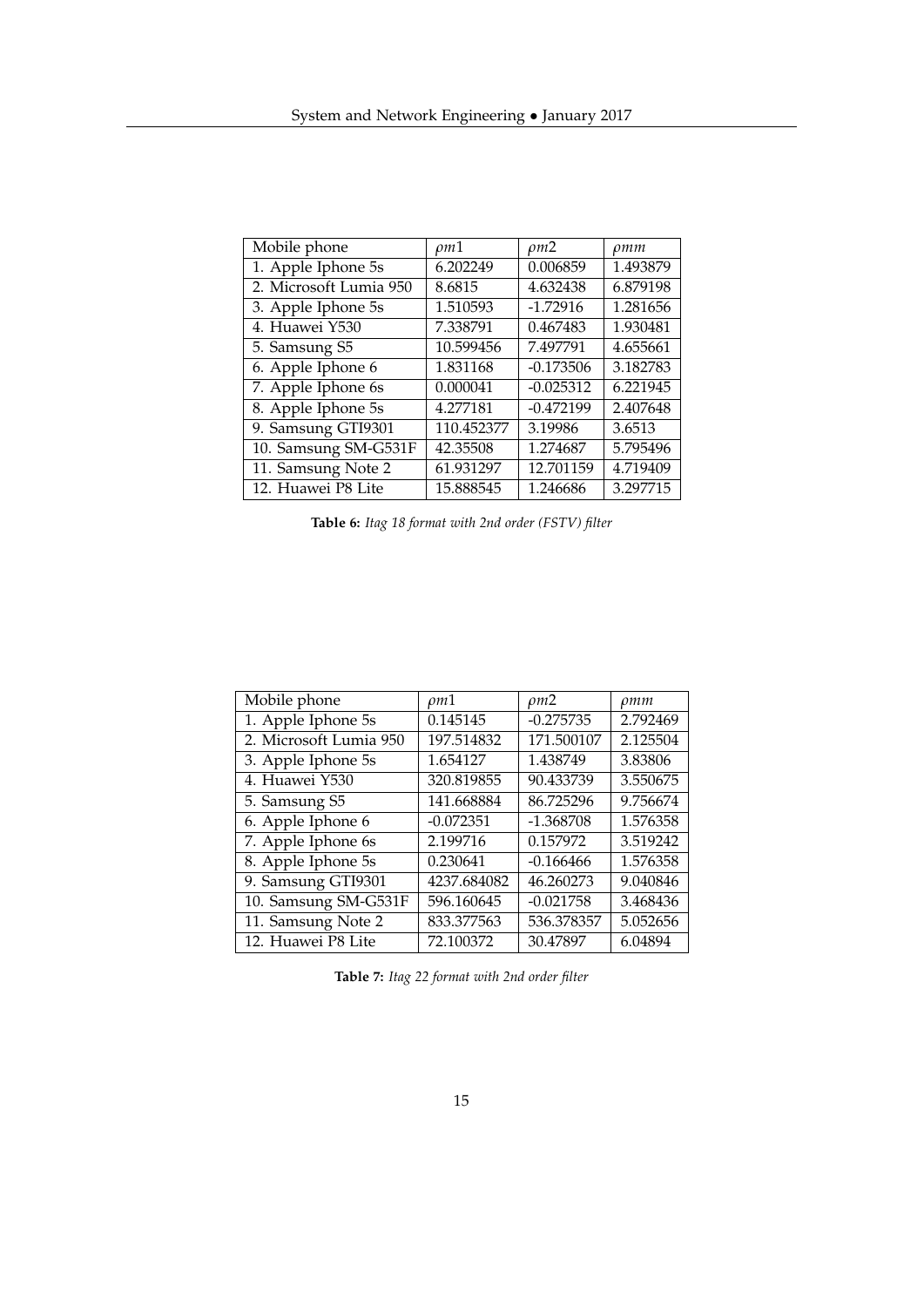| Mobile phone           | $\rho m1$  | $\rho m2$   | pmm      |
|------------------------|------------|-------------|----------|
| 1. Apple Iphone 5s     | 6.202249   | 0.006859    | 1.493879 |
| 2. Microsoft Lumia 950 | 8.6815     | 4.632438    | 6.879198 |
| 3. Apple Iphone 5s     | 1.510593   | $-1.72916$  | 1.281656 |
| 4. Huawei Y530         | 7.338791   | 0.467483    | 1.930481 |
| 5. Samsung S5          | 10.599456  | 7.497791    | 4.655661 |
| 6. Apple Iphone 6      | 1.831168   | $-0.173506$ | 3.182783 |
| 7. Apple Iphone 6s     | 0.000041   | $-0.025312$ | 6.221945 |
| 8. Apple Iphone 5s     | 4.277181   | $-0.472199$ | 2.407648 |
| 9. Samsung GTI9301     | 110.452377 | 3.19986     | 3.6513   |
| 10. Samsung SM-G531F   | 42.35508   | 1.274687    | 5.795496 |
| 11. Samsung Note 2     | 61.931297  | 12.701159   | 4.719409 |
| 12. Huawei P8 Lite     | 15.888545  | 1.246686    | 3.297715 |

**Table 6:** *Itag 18 format with 2nd order (FSTV) filter*

| Mobile phone           | $\rho m1$   | $\rho m2$   | $\rho$ mm |
|------------------------|-------------|-------------|-----------|
| 1. Apple Iphone 5s     | 0.145145    | $-0.275735$ | 2.792469  |
| 2. Microsoft Lumia 950 | 197.514832  | 171.500107  | 2.125504  |
| 3. Apple Iphone 5s     | 1.654127    | 1.438749    | 3.83806   |
| 4. Huawei Y530         | 320.819855  | 90.433739   | 3.550675  |
| 5. Samsung S5          | 141.668884  | 86.725296   | 9.756674  |
| 6. Apple Iphone 6      | $-0.072351$ | $-1.368708$ | 1.576358  |
| 7. Apple Iphone 6s     | 2.199716    | 0.157972    | 3.519242  |
| 8. Apple Iphone 5s     | 0.230641    | $-0.166466$ | 1.576358  |
| 9. Samsung GTI9301     | 4237.684082 | 46.260273   | 9.040846  |
| 10. Samsung SM-G531F   | 596.160645  | $-0.021758$ | 3.468436  |
| 11. Samsung Note 2     | 833.377563  | 536.378357  | 5.052656  |
| 12. Huawei P8 Lite     | 72.100372   | 30.47897    | 6.04894   |

**Table 7:** *Itag 22 format with 2nd order filter*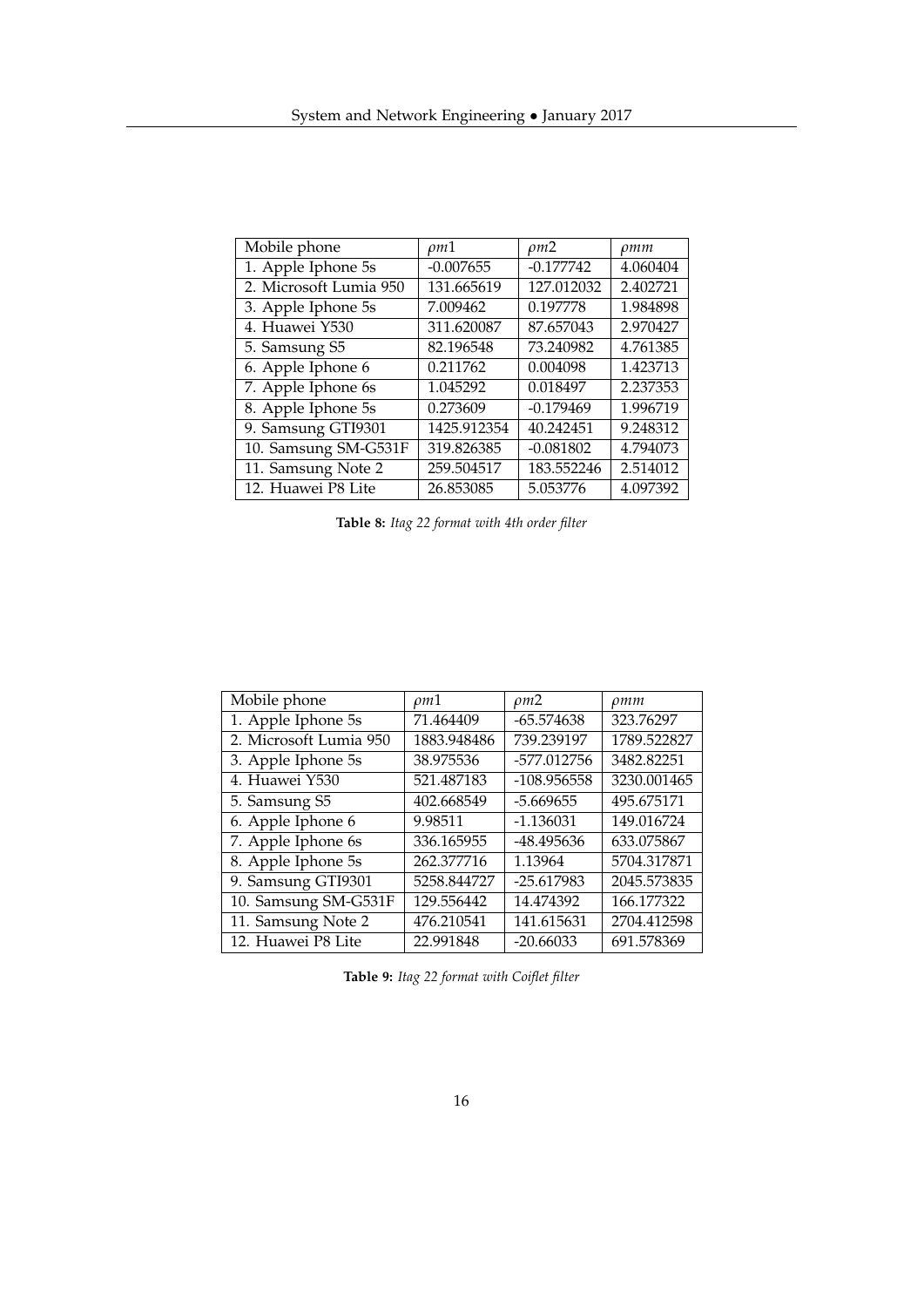| Mobile phone           | $\rho m1$   | $\rho m2$   | $\rho$ mm |
|------------------------|-------------|-------------|-----------|
| 1. Apple Iphone 5s     | $-0.007655$ | $-0.177742$ | 4.060404  |
| 2. Microsoft Lumia 950 | 131.665619  | 127.012032  | 2.402721  |
| 3. Apple Iphone 5s     | 7.009462    | 0.197778    | 1.984898  |
| 4. Huawei Y530         | 311.620087  | 87.657043   | 2.970427  |
| 5. Samsung S5          | 82.196548   | 73.240982   | 4.761385  |
| 6. Apple Iphone 6      | 0.211762    | 0.004098    | 1.423713  |
| 7. Apple Iphone 6s     | 1.045292    | 0.018497    | 2.237353  |
| 8. Apple Iphone 5s     | 0.273609    | $-0.179469$ | 1.996719  |
| 9. Samsung GTI9301     | 1425.912354 | 40.242451   | 9.248312  |
| 10. Samsung SM-G531F   | 319.826385  | $-0.081802$ | 4.794073  |
| 11. Samsung Note 2     | 259.504517  | 183.552246  | 2.514012  |
| 12. Huawei P8 Lite     | 26.853085   | 5.053776    | 4.097392  |

**Table 8:** *Itag 22 format with 4th order filter*

| Mobile phone           | ρm1         | $\rho m2$     | $\rho$ mm   |
|------------------------|-------------|---------------|-------------|
| 1. Apple Iphone 5s     | 71.464409   | $-65.574638$  | 323.76297   |
| 2. Microsoft Lumia 950 | 1883.948486 | 739.239197    | 1789.522827 |
| 3. Apple Iphone 5s     | 38.975536   | -577.012756   | 3482.82251  |
| 4. Huawei Y530         | 521.487183  | $-108.956558$ | 3230.001465 |
| 5. Samsung S5          | 402.668549  | $-5.669655$   | 495.675171  |
| 6. Apple Iphone 6      | 9.98511     | $-1.136031$   | 149.016724  |
| 7. Apple Iphone 6s     | 336.165955  | -48.495636    | 633.075867  |
| 8. Apple Iphone 5s     | 262.377716  | 1.13964       | 5704.317871 |
| 9. Samsung GTI9301     | 5258.844727 | $-25.617983$  | 2045.573835 |
| 10. Samsung SM-G531F   | 129.556442  | 14.474392     | 166.177322  |
| 11. Samsung Note 2     | 476.210541  | 141.615631    | 2704.412598 |
| 12. Huawei P8 Lite     | 22.991848   | $-20.66033$   | 691.578369  |

**Table 9:** *Itag 22 format with Coiflet filter*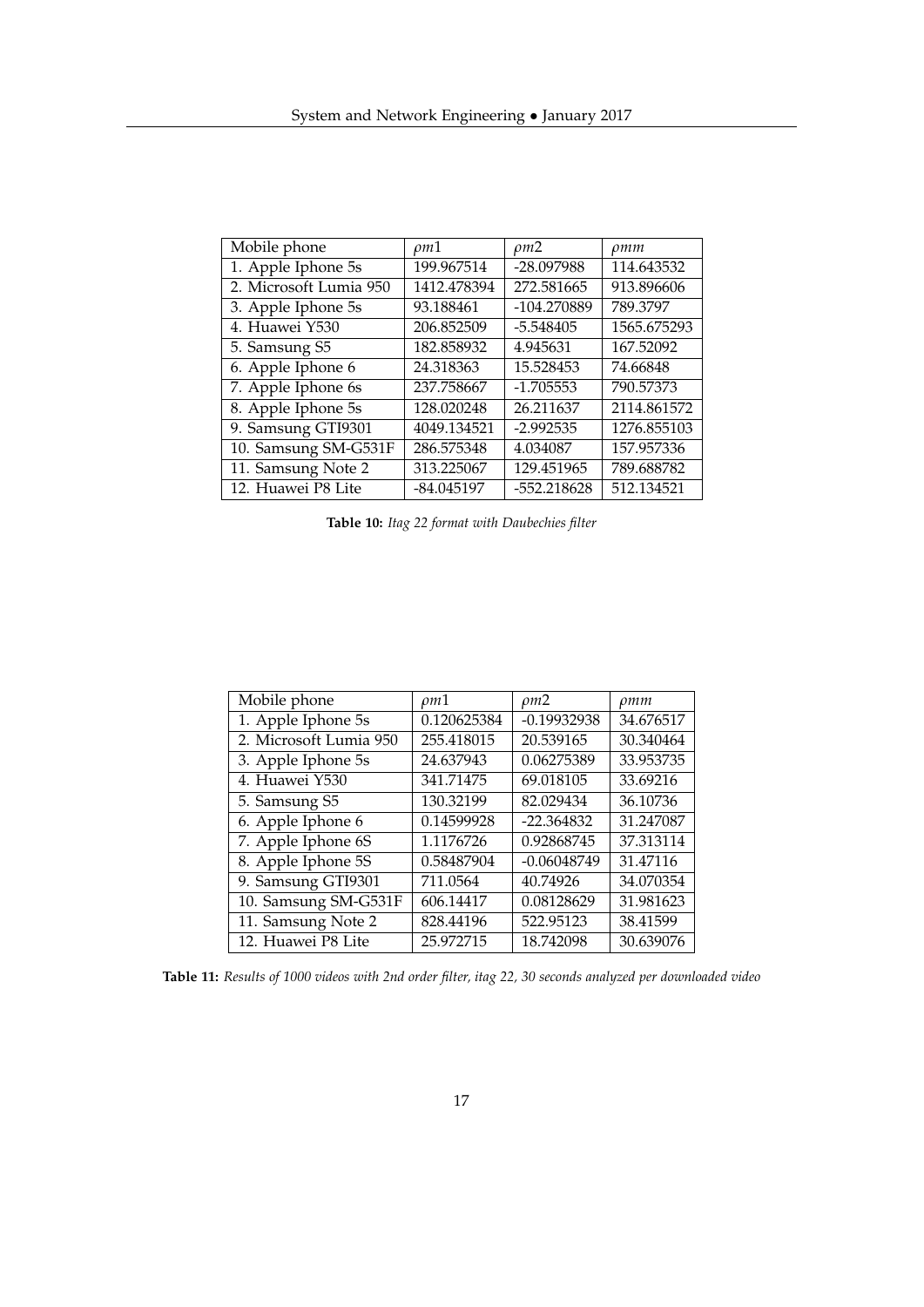| Mobile phone           | $\rho m1$   | $\rho m2$   | pmm         |
|------------------------|-------------|-------------|-------------|
| 1. Apple Iphone 5s     | 199.967514  | -28.097988  | 114.643532  |
| 2. Microsoft Lumia 950 | 1412.478394 | 272.581665  | 913.896606  |
| 3. Apple Iphone 5s     | 93.188461   | -104.270889 | 789.3797    |
| 4. Huawei Y530         | 206.852509  | $-5.548405$ | 1565.675293 |
| 5. Samsung S5          | 182.858932  | 4.945631    | 167.52092   |
| 6. Apple Iphone 6      | 24.318363   | 15.528453   | 74.66848    |
| 7. Apple Iphone 6s     | 237.758667  | $-1.705553$ | 790.57373   |
| 8. Apple Iphone 5s     | 128.020248  | 26.211637   | 2114.861572 |
| 9. Samsung GTI9301     | 4049.134521 | $-2.992535$ | 1276.855103 |
| 10. Samsung SM-G531F   | 286.575348  | 4.034087    | 157.957336  |
| 11. Samsung Note 2     | 313.225067  | 129.451965  | 789.688782  |
| 12. Huawei P8 Lite     | -84.045197  | -552.218628 | 512.134521  |

**Table 10:** *Itag 22 format with Daubechies filter*

| Mobile phone           | $\rho m1$   | $\rho m2$     | $\rho$ mm |
|------------------------|-------------|---------------|-----------|
| 1. Apple Iphone 5s     | 0.120625384 | $-0.19932938$ | 34.676517 |
| 2. Microsoft Lumia 950 | 255.418015  | 20.539165     | 30.340464 |
| 3. Apple Iphone 5s     | 24.637943   | 0.06275389    | 33.953735 |
| 4. Huawei Y530         | 341.71475   | 69.018105     | 33.69216  |
| 5. Samsung S5          | 130.32199   | 82.029434     | 36.10736  |
| 6. Apple Iphone 6      | 0.14599928  | $-22.364832$  | 31.247087 |
| 7. Apple Iphone 6S     | 1.1176726   | 0.92868745    | 37.313114 |
| 8. Apple Iphone 5S     | 0.58487904  | $-0.06048749$ | 31.47116  |
| 9. Samsung GTI9301     | 711.0564    | 40.74926      | 34.070354 |
| 10. Samsung SM-G531F   | 606.14417   | 0.08128629    | 31.981623 |
| 11. Samsung Note 2     | 828.44196   | 522.95123     | 38.41599  |
| 12. Huawei P8 Lite     | 25.972715   | 18.742098     | 30.639076 |

**Table 11:** *Results of 1000 videos with 2nd order filter, itag 22, 30 seconds analyzed per downloaded video*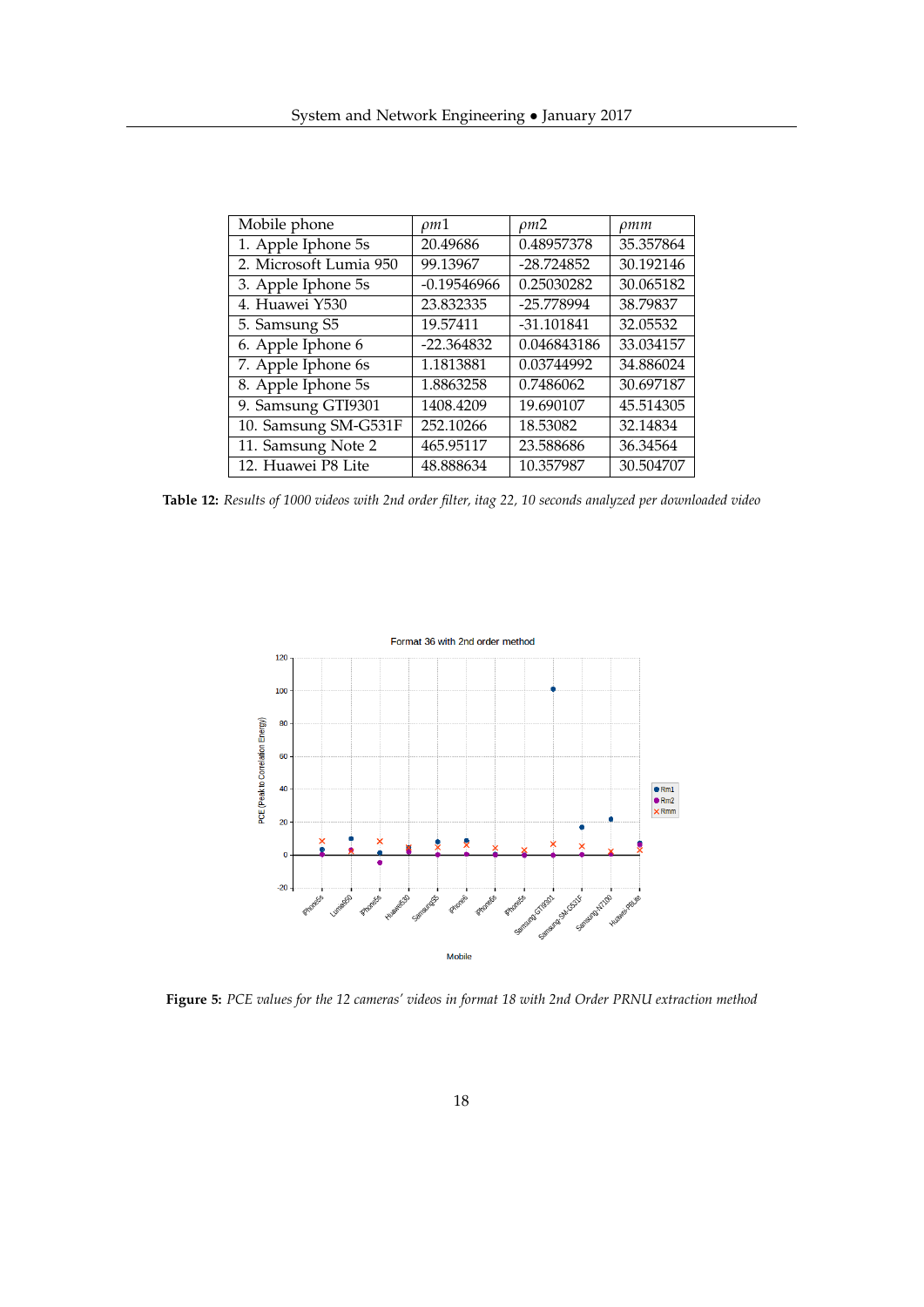| Mobile phone           | $\rho m1$     | $\rho m2$    | $\rho$ mm |
|------------------------|---------------|--------------|-----------|
| 1. Apple Iphone 5s     | 20.49686      | 0.48957378   | 35.357864 |
| 2. Microsoft Lumia 950 | 99.13967      | $-28.724852$ | 30.192146 |
| 3. Apple Iphone 5s     | $-0.19546966$ | 0.25030282   | 30.065182 |
| 4. Huawei Y530         | 23.832335     | -25.778994   | 38.79837  |
| 5. Samsung S5          | 19.57411      | $-31.101841$ | 32.05532  |
| 6. Apple Iphone 6      | $-22.364832$  | 0.046843186  | 33.034157 |
| 7. Apple Iphone 6s     | 1.1813881     | 0.03744992   | 34.886024 |
| 8. Apple Iphone 5s     | 1.8863258     | 0.7486062    | 30.697187 |
| 9. Samsung GTI9301     | 1408.4209     | 19.690107    | 45.514305 |
| 10. Samsung SM-G531F   | 252.10266     | 18.53082     | 32.14834  |
| 11. Samsung Note 2     | 465.95117     | 23.588686    | 36.34564  |
| 12. Huawei P8 Lite     | 48.888634     | 10.357987    | 30.504707 |

**Table 12:** *Results of 1000 videos with 2nd order filter, itag 22, 10 seconds analyzed per downloaded video*



**Figure 5:** *PCE values for the 12 cameras' videos in format 18 with 2nd Order PRNU extraction method*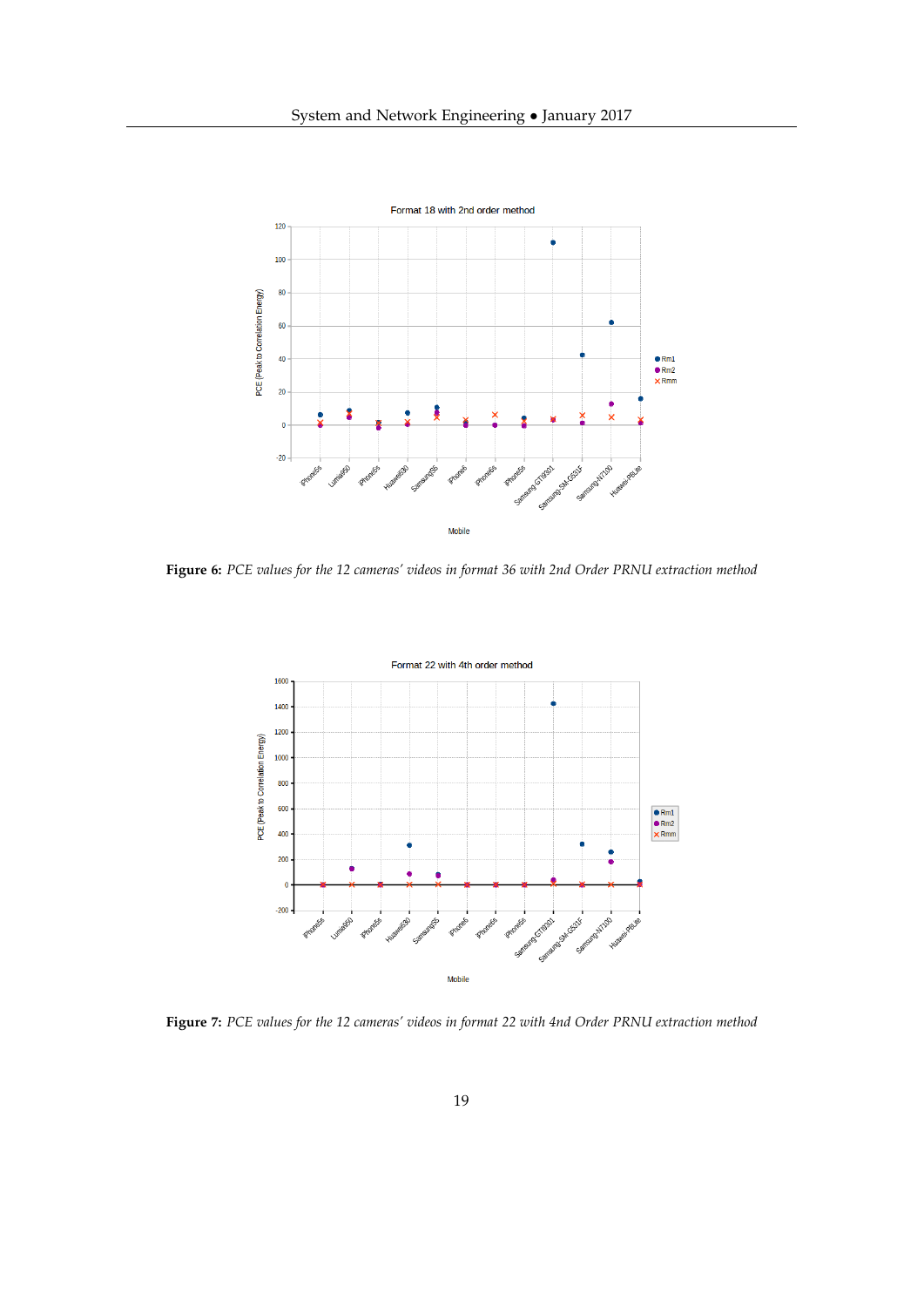

**Figure 6:** *PCE values for the 12 cameras' videos in format 36 with 2nd Order PRNU extraction method*



**Figure 7:** *PCE values for the 12 cameras' videos in format 22 with 4nd Order PRNU extraction method*